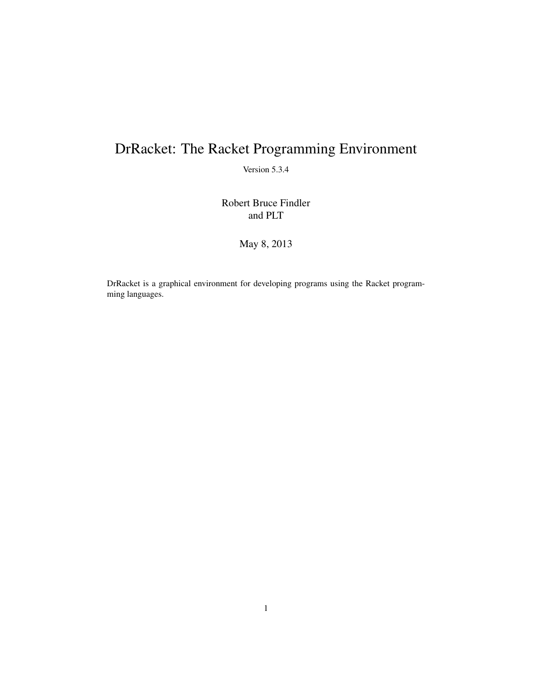# <span id="page-0-0"></span>DrRacket: The Racket Programming Environment

Version 5.3.4

Robert Bruce Findler and PLT

May 8, 2013

DrRacket is a graphical environment for developing programs using the Racket programming languages.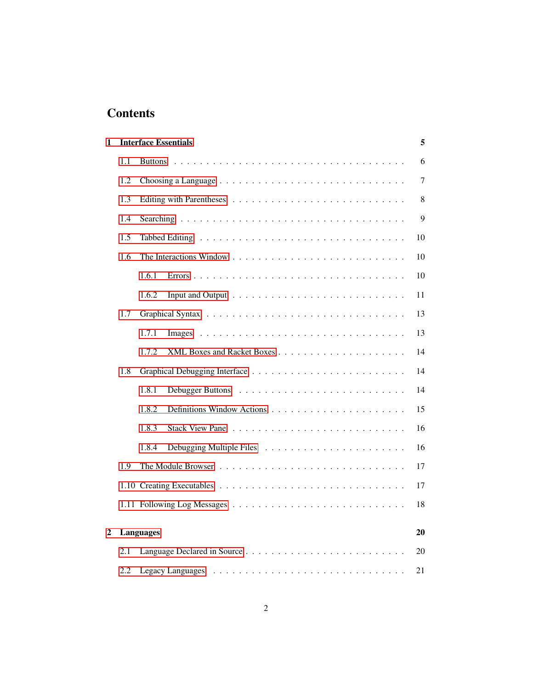# **Contents**

| 1 |     |                  | <b>Interface Essentials</b> | 5              |
|---|-----|------------------|-----------------------------|----------------|
|   | 1.1 |                  |                             | 6              |
|   | 1.2 |                  |                             | $\overline{7}$ |
|   | 1.3 |                  |                             | 8              |
|   | 1.4 |                  |                             | 9              |
|   | 1.5 |                  |                             | 10             |
|   | 1.6 |                  |                             | 10             |
|   |     | 1.6.1            |                             | 10             |
|   |     | 1.6.2            |                             | 11             |
|   | 1.7 |                  |                             | 13             |
|   |     | 1.7.1            |                             | 13             |
|   |     | 1.7.2            |                             | 14             |
|   | 1.8 |                  |                             | 14             |
|   |     | 1.8.1            |                             | 14             |
|   |     | 1.8.2            |                             | 15             |
|   |     | 1.8.3            |                             | 16             |
|   |     | 1.8.4            |                             | 16             |
|   | 1.9 |                  |                             | 17             |
|   |     |                  |                             | 17             |
|   |     |                  |                             | 18             |
| 2 |     | <b>Languages</b> |                             | 20             |
|   |     |                  |                             |                |
|   | 2.1 |                  |                             | 20             |
|   | 2.2 |                  |                             | 21             |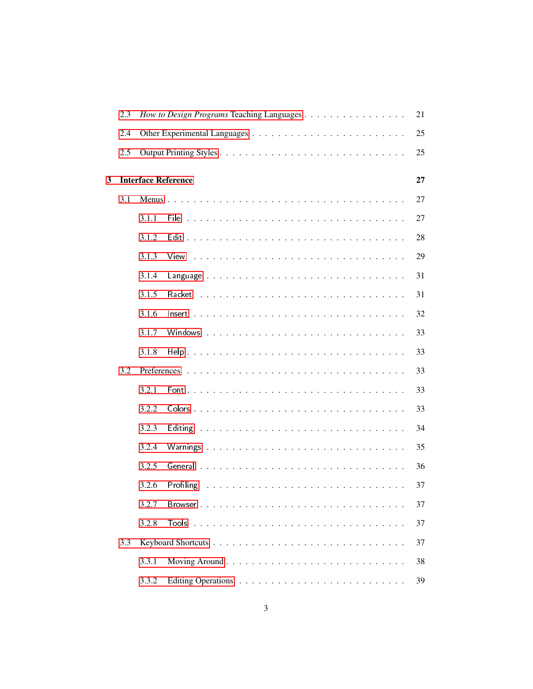|   | 2.3 |       | How to Design Programs Teaching Languages | 21 |
|---|-----|-------|-------------------------------------------|----|
|   | 2.4 |       |                                           | 25 |
|   | 2.5 |       |                                           | 25 |
| 3 |     |       | <b>Interface Reference</b>                | 27 |
|   | 3.1 |       |                                           | 27 |
|   |     | 3.1.1 |                                           | 27 |
|   |     | 3.1.2 |                                           | 28 |
|   |     | 3.1.3 |                                           | 29 |
|   |     | 3.1.4 |                                           | 31 |
|   |     | 3.1.5 |                                           | 31 |
|   |     | 3.1.6 |                                           | 32 |
|   |     | 3.1.7 |                                           | 33 |
|   |     | 3.1.8 |                                           | 33 |
|   | 3.2 |       |                                           | 33 |
|   |     | 3.2.1 |                                           | 33 |
|   |     | 3.2.2 |                                           | 33 |
|   |     | 3.2.3 |                                           | 34 |
|   |     | 3.2.4 |                                           | 35 |
|   |     | 3.2.5 |                                           | 36 |
|   |     | 3.2.6 |                                           | 37 |
|   |     | 3.2.7 |                                           | 37 |
|   |     | 3.2.8 |                                           | 37 |
|   | 3.3 |       |                                           | 37 |
|   |     | 3.3.1 |                                           | 38 |
|   |     | 3.3.2 |                                           | 39 |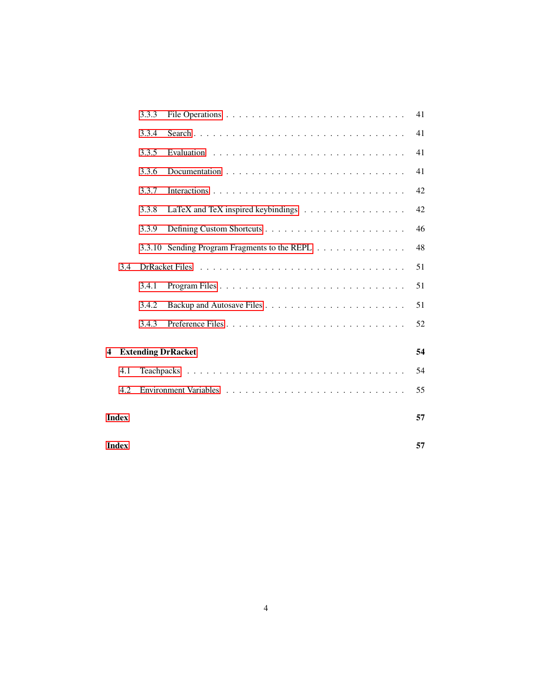|   |       | 3.3.3 |                                                                         | 41 |
|---|-------|-------|-------------------------------------------------------------------------|----|
|   |       | 3.3.4 |                                                                         | 41 |
|   |       | 3.3.5 |                                                                         | 41 |
|   |       | 3.3.6 |                                                                         | 41 |
|   |       | 3.3.7 |                                                                         | 42 |
|   |       | 3.3.8 | LaTeX and TeX inspired keybindings $\ldots \ldots \ldots \ldots \ldots$ | 42 |
|   |       | 3.3.9 |                                                                         | 46 |
|   |       |       | 3.3.10 Sending Program Fragments to the REPL                            | 48 |
|   | 3.4   |       |                                                                         | 51 |
|   |       | 3.4.1 |                                                                         | 51 |
|   |       | 3.4.2 |                                                                         | 51 |
|   |       | 3.4.3 |                                                                         | 52 |
| 4 |       |       | <b>Extending DrRacket</b>                                               | 54 |
|   | 4.1   |       |                                                                         | 54 |
|   | 4.2   |       |                                                                         | 55 |
|   | Index |       |                                                                         | 57 |
|   | Index |       |                                                                         | 57 |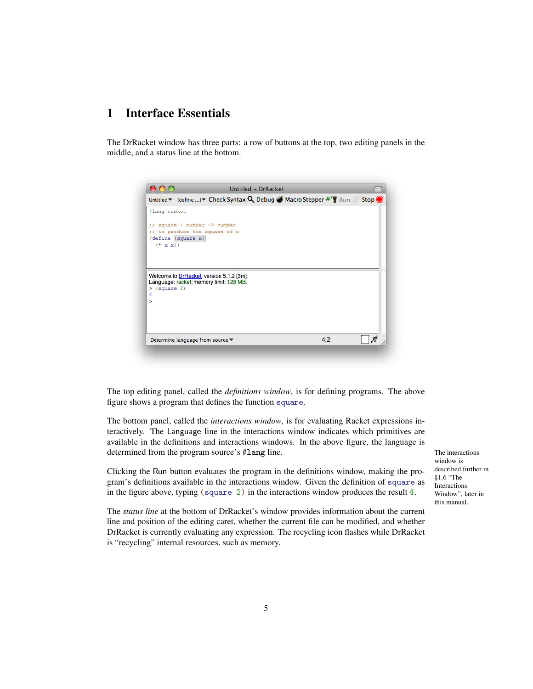# <span id="page-4-0"></span>1 Interface Essentials

The DrRacket window has three parts: a row of buttons at the top, two editing panels in the middle, and a status line at the bottom.

|                 |                                  |                                          | Untitled $\blacktriangledown$ (define ) $\blacktriangledown$ Check Syntax Q Debug $\blacktriangledown$ Macro Stepper $\#$ $\blacktriangledown$ Run $\mathcal{A}$ Stop $\bigcirc$ |  |
|-----------------|----------------------------------|------------------------------------------|----------------------------------------------------------------------------------------------------------------------------------------------------------------------------------|--|
| #lang racket    |                                  |                                          |                                                                                                                                                                                  |  |
|                 |                                  |                                          |                                                                                                                                                                                  |  |
|                 | ;; square : number -> number     | ;; to produce the square of x            |                                                                                                                                                                                  |  |
|                 | (define (square x)               |                                          |                                                                                                                                                                                  |  |
| $(* x x))$      |                                  |                                          |                                                                                                                                                                                  |  |
|                 |                                  |                                          |                                                                                                                                                                                  |  |
|                 |                                  |                                          |                                                                                                                                                                                  |  |
|                 |                                  | Welcome to DrRacket, version 5.1.2 [3m]. |                                                                                                                                                                                  |  |
| (square 2)<br>≻ |                                  | Language: racket; memory limit: 128 MB.  |                                                                                                                                                                                  |  |
| 4               |                                  |                                          |                                                                                                                                                                                  |  |
| ⋋               |                                  |                                          |                                                                                                                                                                                  |  |
|                 |                                  |                                          |                                                                                                                                                                                  |  |
|                 |                                  |                                          |                                                                                                                                                                                  |  |
|                 |                                  |                                          |                                                                                                                                                                                  |  |
|                 | Determine language from source ▼ |                                          | 4:2                                                                                                                                                                              |  |

The top editing panel, called the *definitions window*, is for defining programs. The above figure shows a program that defines the function square.

The bottom panel, called the *interactions window*, is for evaluating Racket expressions interactively. The Language line in the interactions window indicates which primitives are available in the definitions and interactions windows. In the above figure, the language is determined from the program source's #lang line. The interactions The interactions

Clicking the Run button evaluates the program in the definitions window, making the program's definitions available in the interactions window. Given the definition of square as in the figure above, typing (square 2) in the interactions window produces the result 4.

The *status line* at the bottom of DrRacket's window provides information about the current line and position of the editing caret, whether the current file can be modified, and whether DrRacket is currently evaluating any expression. The recycling icon flashes while DrRacket is "recycling" internal resources, such as memory.

window is described further in §1.6 "The Interactions Window", later in this manual.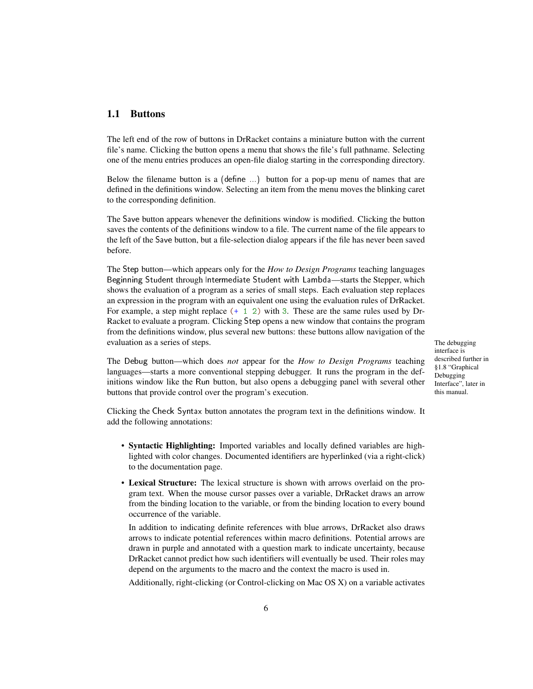## <span id="page-5-0"></span>1.1 Buttons

The left end of the row of buttons in DrRacket contains a miniature button with the current file's name. Clicking the button opens a menu that shows the file's full pathname. Selecting one of the menu entries produces an open-file dialog starting in the corresponding directory.

Below the filename button is a (define  $\ldots$ ) button for a pop-up menu of names that are defined in the definitions window. Selecting an item from the menu moves the blinking caret to the corresponding definition.

The Save button appears whenever the definitions window is modified. Clicking the button saves the contents of the definitions window to a file. The current name of the file appears to the left of the Save button, but a file-selection dialog appears if the file has never been saved before.

The Step button—which appears only for the *How to Design Programs* teaching languages Beginning Student through Intermediate Student with Lambda—starts the Stepper, which shows the evaluation of a program as a series of small steps. Each evaluation step replaces an expression in the program with an equivalent one using the evaluation rules of DrRacket. For example, a step might replace (+ 1 2) with 3. These are the same rules used by Dr-Racket to evaluate a program. Clicking Step opens a new window that contains the program from the definitions window, plus several new buttons: these buttons allow navigation of the evaluation as a series of steps. The debugging

interface is described further in §1.8 "Graphical Debugging Interface", later in this manual.

The Debug button—which does *not* appear for the *How to Design Programs* teaching languages—starts a more conventional stepping debugger. It runs the program in the definitions window like the Run button, but also opens a debugging panel with several other buttons that provide control over the program's execution.

Clicking the Check Syntax button annotates the program text in the definitions window. It add the following annotations:

- Syntactic Highlighting: Imported variables and locally defined variables are highlighted with color changes. Documented identifiers are hyperlinked (via a right-click) to the documentation page.
- Lexical Structure: The lexical structure is shown with arrows overlaid on the program text. When the mouse cursor passes over a variable, DrRacket draws an arrow from the binding location to the variable, or from the binding location to every bound occurrence of the variable.

In addition to indicating definite references with blue arrows, DrRacket also draws arrows to indicate potential references within macro definitions. Potential arrows are drawn in purple and annotated with a question mark to indicate uncertainty, because DrRacket cannot predict how such identifiers will eventually be used. Their roles may depend on the arguments to the macro and the context the macro is used in.

Additionally, right-clicking (or Control-clicking on Mac OS X) on a variable activates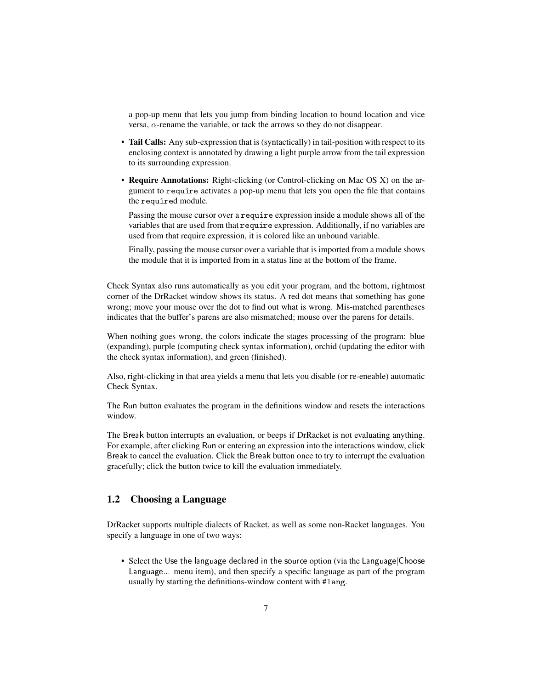a pop-up menu that lets you jump from binding location to bound location and vice versa, α-rename the variable, or tack the arrows so they do not disappear.

- Tail Calls: Any sub-expression that is (syntactically) in tail-position with respect to its enclosing context is annotated by drawing a light purple arrow from the tail expression to its surrounding expression.
- Require Annotations: Right-clicking (or Control-clicking on Mac OS X) on the argument to require activates a pop-up menu that lets you open the file that contains the required module.

Passing the mouse cursor over a require expression inside a module shows all of the variables that are used from that require expression. Additionally, if no variables are used from that require expression, it is colored like an unbound variable.

Finally, passing the mouse cursor over a variable that is imported from a module shows the module that it is imported from in a status line at the bottom of the frame.

Check Syntax also runs automatically as you edit your program, and the bottom, rightmost corner of the DrRacket window shows its status. A red dot means that something has gone wrong; move your mouse over the dot to find out what is wrong. Mis-matched parentheses indicates that the buffer's parens are also mismatched; mouse over the parens for details.

When nothing goes wrong, the colors indicate the stages processing of the program: blue (expanding), purple (computing check syntax information), orchid (updating the editor with the check syntax information), and green (finished).

Also, right-clicking in that area yields a menu that lets you disable (or re-eneable) automatic Check Syntax.

The Run button evaluates the program in the definitions window and resets the interactions window.

The Break button interrupts an evaluation, or beeps if DrRacket is not evaluating anything. For example, after clicking Run or entering an expression into the interactions window, click Break to cancel the evaluation. Click the Break button once to try to interrupt the evaluation gracefully; click the button twice to kill the evaluation immediately.

## <span id="page-6-0"></span>1.2 Choosing a Language

DrRacket supports multiple dialects of Racket, as well as some non-Racket languages. You specify a language in one of two ways:

• Select the Use the language declared in the source option (via the Language|Choose Language... menu item), and then specify a specific language as part of the program usually by starting the definitions-window content with #lang.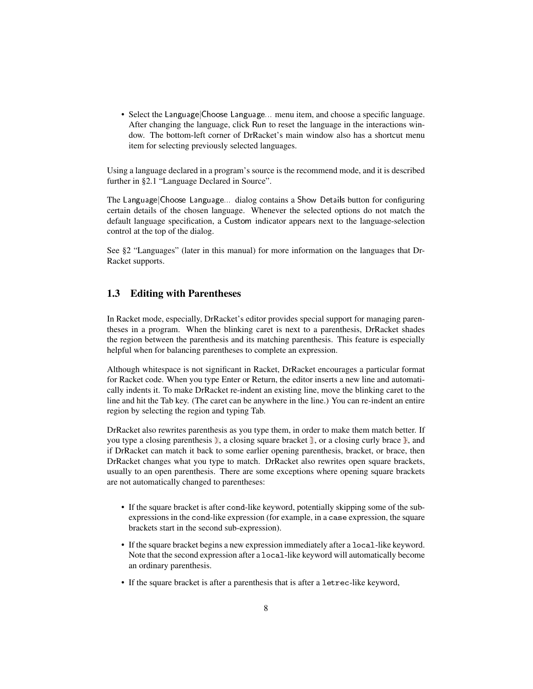• Select the Language|Choose Language... menu item, and choose a specific language. After changing the language, click Run to reset the language in the interactions window. The bottom-left corner of DrRacket's main window also has a shortcut menu item for selecting previously selected languages.

Using a language declared in a program's source is the recommend mode, and it is described further in §2.1 "Language Declared in Source".

The Language|Choose Language... dialog contains a Show Details button for configuring certain details of the chosen language. Whenever the selected options do not match the default language specification, a Custom indicator appears next to the language-selection control at the top of the dialog.

See §2 "Languages" (later in this manual) for more information on the languages that Dr-Racket supports.

## <span id="page-7-0"></span>1.3 Editing with Parentheses

In Racket mode, especially, DrRacket's editor provides special support for managing parentheses in a program. When the blinking caret is next to a parenthesis, DrRacket shades the region between the parenthesis and its matching parenthesis. This feature is especially helpful when for balancing parentheses to complete an expression.

Although whitespace is not significant in Racket, DrRacket encourages a particular format for Racket code. When you type Enter or Return, the editor inserts a new line and automatically indents it. To make DrRacket re-indent an existing line, move the blinking caret to the line and hit the Tab key. (The caret can be anywhere in the line.) You can re-indent an entire region by selecting the region and typing Tab.

DrRacket also rewrites parenthesis as you type them, in order to make them match better. If you type a closing parenthesis ), a closing square bracket  $\mathbb{I}$ , or a closing curly brace  $\mathbb{I}$ , and if DrRacket can match it back to some earlier opening parenthesis, bracket, or brace, then DrRacket changes what you type to match. DrRacket also rewrites open square brackets, usually to an open parenthesis. There are some exceptions where opening square brackets are not automatically changed to parentheses:

- If the square bracket is after cond-like keyword, potentially skipping some of the subexpressions in the cond-like expression (for example, in a case expression, the square brackets start in the second sub-expression).
- If the square bracket begins a new expression immediately after a local-like keyword. Note that the second expression after a local-like keyword will automatically become an ordinary parenthesis.
- If the square bracket is after a parenthesis that is after a letrec-like keyword,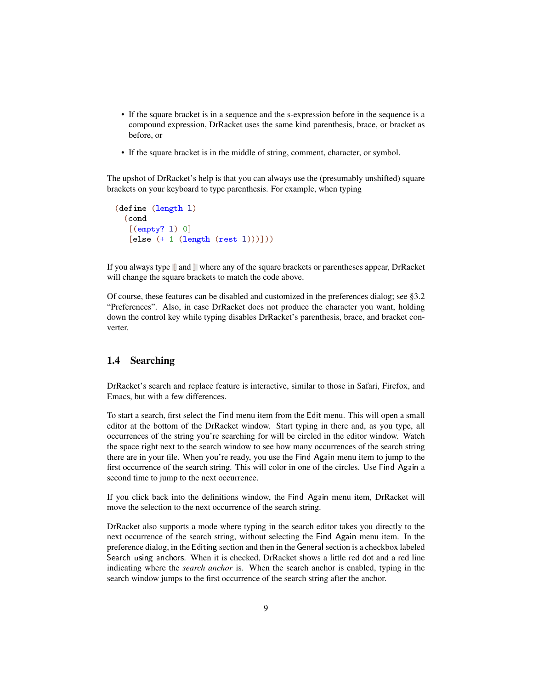- If the square bracket is in a sequence and the s-expression before in the sequence is a compound expression, DrRacket uses the same kind parenthesis, brace, or bracket as before, or
- If the square bracket is in the middle of string, comment, character, or symbol.

The upshot of DrRacket's help is that you can always use the (presumably unshifted) square brackets on your keyboard to type parenthesis. For example, when typing

```
(define (length l)
 (cond
   [(empty? l) 0]
   [else ( + 1 (length (rest 1)))]))
```
If you always type [ and ] where any of the square brackets or parentheses appear, DrRacket will change the square brackets to match the code above.

Of course, these features can be disabled and customized in the preferences dialog; see §3.2 "Preferences". Also, in case DrRacket does not produce the character you want, holding down the control key while typing disables DrRacket's parenthesis, brace, and bracket converter.

## <span id="page-8-0"></span>1.4 Searching

DrRacket's search and replace feature is interactive, similar to those in Safari, Firefox, and Emacs, but with a few differences.

To start a search, first select the Find menu item from the Edit menu. This will open a small editor at the bottom of the DrRacket window. Start typing in there and, as you type, all occurrences of the string you're searching for will be circled in the editor window. Watch the space right next to the search window to see how many occurrences of the search string there are in your file. When you're ready, you use the Find Again menu item to jump to the first occurrence of the search string. This will color in one of the circles. Use Find Again a second time to jump to the next occurrence.

If you click back into the definitions window, the Find Again menu item, DrRacket will move the selection to the next occurrence of the search string.

DrRacket also supports a mode where typing in the search editor takes you directly to the next occurrence of the search string, without selecting the Find Again menu item. In the preference dialog, in the Editing section and then in the Generalsection is a checkbox labeled Search using anchors. When it is checked, DrRacket shows a little red dot and a red line indicating where the *search anchor* is. When the search anchor is enabled, typing in the search window jumps to the first occurrence of the search string after the anchor.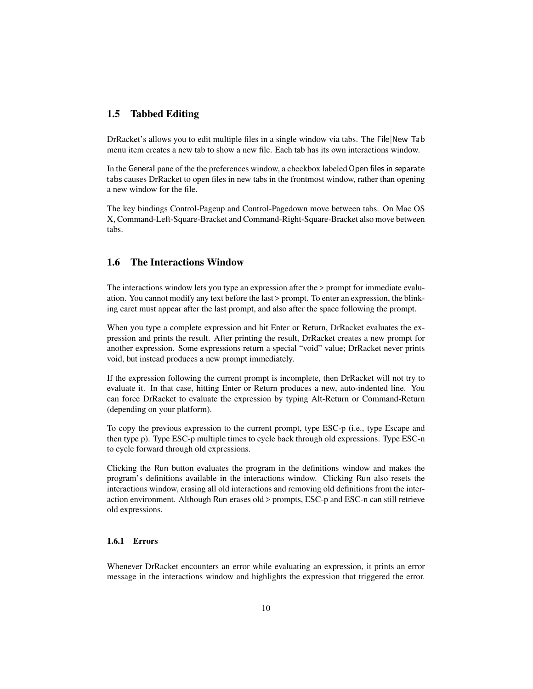## <span id="page-9-0"></span>1.5 Tabbed Editing

DrRacket's allows you to edit multiple files in a single window via tabs. The File|New Tab menu item creates a new tab to show a new file. Each tab has its own interactions window.

In the General pane of the the preferences window, a checkbox labeled Open files in separate tabs causes DrRacket to open files in new tabs in the frontmost window, rather than opening a new window for the file.

The key bindings Control-Pageup and Control-Pagedown move between tabs. On Mac OS X, Command-Left-Square-Bracket and Command-Right-Square-Bracket also move between tabs.

#### <span id="page-9-1"></span>1.6 The Interactions Window

The interactions window lets you type an expression after the > prompt for immediate evaluation. You cannot modify any text before the last > prompt. To enter an expression, the blinking caret must appear after the last prompt, and also after the space following the prompt.

When you type a complete expression and hit Enter or Return, DrRacket evaluates the expression and prints the result. After printing the result, DrRacket creates a new prompt for another expression. Some expressions return a special "void" value; DrRacket never prints void, but instead produces a new prompt immediately.

If the expression following the current prompt is incomplete, then DrRacket will not try to evaluate it. In that case, hitting Enter or Return produces a new, auto-indented line. You can force DrRacket to evaluate the expression by typing Alt-Return or Command-Return (depending on your platform).

To copy the previous expression to the current prompt, type ESC-p (i.e., type Escape and then type p). Type ESC-p multiple times to cycle back through old expressions. Type ESC-n to cycle forward through old expressions.

Clicking the Run button evaluates the program in the definitions window and makes the program's definitions available in the interactions window. Clicking Run also resets the interactions window, erasing all old interactions and removing old definitions from the interaction environment. Although Run erases old > prompts, ESC-p and ESC-n can still retrieve old expressions.

#### <span id="page-9-2"></span>1.6.1 Errors

Whenever DrRacket encounters an error while evaluating an expression, it prints an error message in the interactions window and highlights the expression that triggered the error.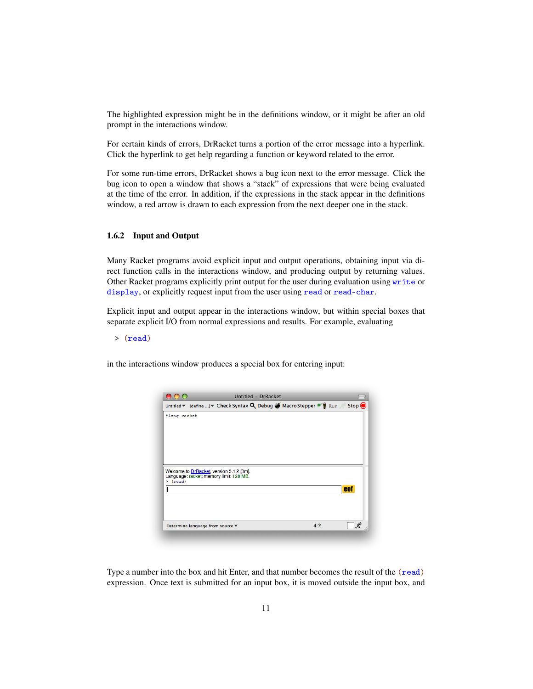The highlighted expression might be in the definitions window, or it might be after an old prompt in the interactions window.

For certain kinds of errors, DrRacket turns a portion of the error message into a hyperlink. Click the hyperlink to get help regarding a function or keyword related to the error.

For some run-time errors, DrRacket shows a bug icon next to the error message. Click the bug icon to open a window that shows a "stack" of expressions that were being evaluated at the time of the error. In addition, if the expressions in the stack appear in the definitions window, a red arrow is drawn to each expression from the next deeper one in the stack.

#### <span id="page-10-0"></span>1.6.2 Input and Output

Many Racket programs avoid explicit input and output operations, obtaining input via direct function calls in the interactions window, and producing output by returning values. Other Racket programs explicitly print output for the user during evaluation using write or display, or explicitly request input from the user using read or read-char.

Explicit input and output appear in the interactions window, but within special boxes that separate explicit I/O from normal expressions and results. For example, evaluating

> (read)

in the interactions window produces a special box for entering input:

|              |                                  |                                          | Untitled - DrRacket |     |                                                                                                                                                                  |
|--------------|----------------------------------|------------------------------------------|---------------------|-----|------------------------------------------------------------------------------------------------------------------------------------------------------------------|
|              |                                  |                                          |                     |     | Untitled $\blacktriangledown$ (define ) $\blacktriangledown$ Check Syntax Q Debug $\blacktriangledown$ Macro Stepper $\#$ $\P$ Run $\mathcal{A}$ Stop $\bigcirc$ |
| #lang racket |                                  |                                          |                     |     |                                                                                                                                                                  |
|              |                                  |                                          |                     |     |                                                                                                                                                                  |
|              |                                  |                                          |                     |     |                                                                                                                                                                  |
|              |                                  |                                          |                     |     |                                                                                                                                                                  |
|              |                                  |                                          |                     |     |                                                                                                                                                                  |
|              |                                  | Welcome to DrRacket, version 5.1.2 [3m]. |                     |     |                                                                                                                                                                  |
|              |                                  | Language: racket; memory limit: 128 MB.  |                     |     |                                                                                                                                                                  |
| >(read)      |                                  |                                          |                     |     | eof                                                                                                                                                              |
|              |                                  |                                          |                     |     |                                                                                                                                                                  |
|              |                                  |                                          |                     |     |                                                                                                                                                                  |
|              |                                  |                                          |                     |     |                                                                                                                                                                  |
|              | Determine language from source ▼ |                                          |                     | 4:2 |                                                                                                                                                                  |
|              |                                  |                                          |                     |     |                                                                                                                                                                  |

Type a number into the box and hit Enter, and that number becomes the result of the (read) expression. Once text is submitted for an input box, it is moved outside the input box, and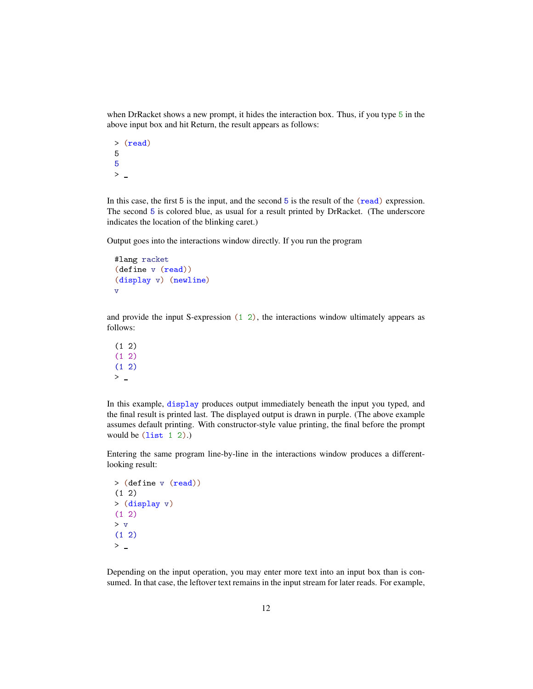when DrRacket shows a new prompt, it hides the interaction box. Thus, if you type 5 in the above input box and hit Return, the result appears as follows:

```
> (read)
5
5
> \overline{a}
```
In this case, the first 5 is the input, and the second 5 is the result of the (read) expression. The second 5 is colored blue, as usual for a result printed by DrRacket. (The underscore indicates the location of the blinking caret.)

Output goes into the interactions window directly. If you run the program

```
#lang racket
(define v (read))
(display v) (newline)
v
```
and provide the input S-expression  $(1\ 2)$ , the interactions window ultimately appears as follows:

 $(1 2)$  $(1 2)$  $(1 2)$  $\geq$ 

In this example, display produces output immediately beneath the input you typed, and the final result is printed last. The displayed output is drawn in purple. (The above example assumes default printing. With constructor-style value printing, the final before the prompt would be (list 1 2).)

Entering the same program line-by-line in the interactions window produces a differentlooking result:

```
> (define v (read))
(1 2)
> (display v)
(1 2)
> v
(1 2)
> \overline{a}
```
Depending on the input operation, you may enter more text into an input box than is consumed. In that case, the leftover text remains in the input stream for later reads. For example,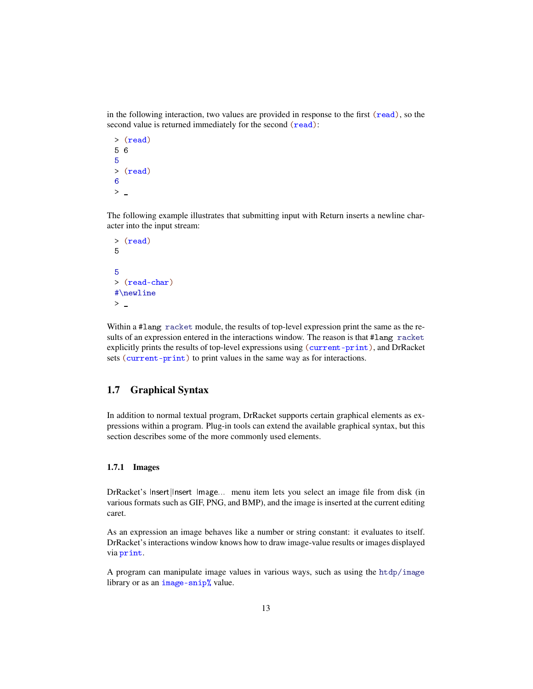in the following interaction, two values are provided in response to the first (read), so the second value is returned immediately for the second (read):

```
> (read)
5 6
5
> (read)
6
> \overline{\phantom{0}}
```
The following example illustrates that submitting input with Return inserts a newline character into the input stream:

```
> (read)
5
5
> (read-char)
#\newline
> \_
```
Within a #lang racket module, the results of top-level expression print the same as the results of an expression entered in the interactions window. The reason is that #lang racket explicitly prints the results of top-level expressions using (current-print), and DrRacket sets (current-print) to print values in the same way as for interactions.

## <span id="page-12-0"></span>1.7 Graphical Syntax

In addition to normal textual program, DrRacket supports certain graphical elements as expressions within a program. Plug-in tools can extend the available graphical syntax, but this section describes some of the more commonly used elements.

#### <span id="page-12-1"></span>1.7.1 Images

DrRacket's Insert|Insert Image... menu item lets you select an image file from disk (in various formats such as GIF, PNG, and BMP), and the image is inserted at the current editing caret.

As an expression an image behaves like a number or string constant: it evaluates to itself. DrRacket's interactions window knows how to draw image-value results or images displayed via print.

A program can manipulate image values in various ways, such as using the  $htdp/image$ library or as an image-snip% value.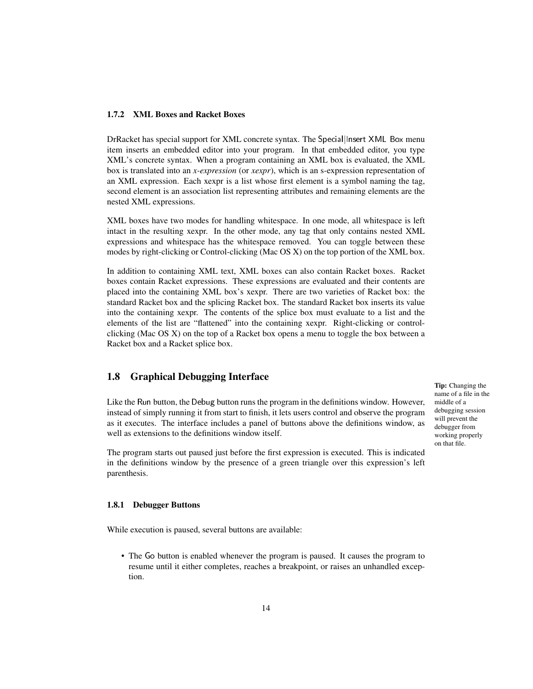#### <span id="page-13-0"></span>1.7.2 XML Boxes and Racket Boxes

DrRacket has special support for XML concrete syntax. The Special|Insert XML Box menu item inserts an embedded editor into your program. In that embedded editor, you type XML's concrete syntax. When a program containing an XML box is evaluated, the XML box is translated into an *x-expression* (or *xexpr*), which is an s-expression representation of an XML expression. Each xexpr is a list whose first element is a symbol naming the tag, second element is an association list representing attributes and remaining elements are the nested XML expressions.

XML boxes have two modes for handling whitespace. In one mode, all whitespace is left intact in the resulting xexpr. In the other mode, any tag that only contains nested XML expressions and whitespace has the whitespace removed. You can toggle between these modes by right-clicking or Control-clicking (Mac OS X) on the top portion of the XML box.

In addition to containing XML text, XML boxes can also contain Racket boxes. Racket boxes contain Racket expressions. These expressions are evaluated and their contents are placed into the containing XML box's xexpr. There are two varieties of Racket box: the standard Racket box and the splicing Racket box. The standard Racket box inserts its value into the containing xexpr. The contents of the splice box must evaluate to a list and the elements of the list are "flattened" into the containing xexpr. Right-clicking or controlclicking (Mac OS X) on the top of a Racket box opens a menu to toggle the box between a Racket box and a Racket splice box.

## <span id="page-13-1"></span>1.8 Graphical Debugging Interface

Like the Run button, the Debug button runs the program in the definitions window. However, instead of simply running it from start to finish, it lets users control and observe the program as it executes. The interface includes a panel of buttons above the definitions window, as well as extensions to the definitions window itself.

The program starts out paused just before the first expression is executed. This is indicated in the definitions window by the presence of a green triangle over this expression's left parenthesis.

#### <span id="page-13-2"></span>1.8.1 Debugger Buttons

While execution is paused, several buttons are available:

• The Go button is enabled whenever the program is paused. It causes the program to resume until it either completes, reaches a breakpoint, or raises an unhandled exception.

Tip: Changing the name of a file in the middle of a debugging session will prevent the debugger from working properly on that file.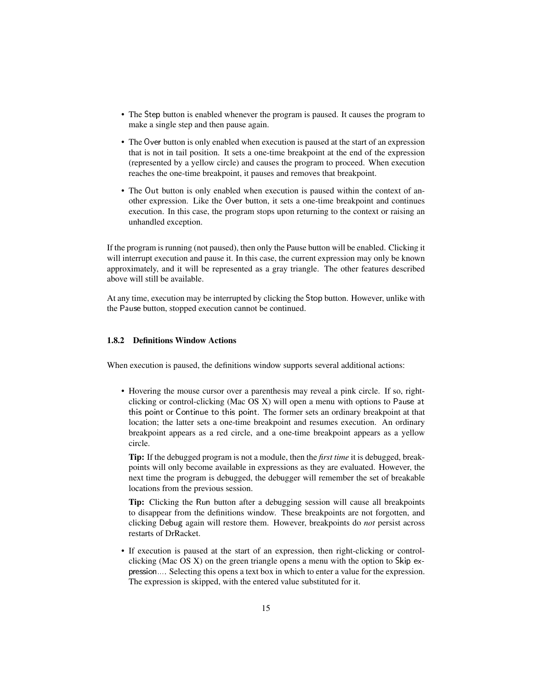- The Step button is enabled whenever the program is paused. It causes the program to make a single step and then pause again.
- The Over button is only enabled when execution is paused at the start of an expression that is not in tail position. It sets a one-time breakpoint at the end of the expression (represented by a yellow circle) and causes the program to proceed. When execution reaches the one-time breakpoint, it pauses and removes that breakpoint.
- The Out button is only enabled when execution is paused within the context of another expression. Like the Over button, it sets a one-time breakpoint and continues execution. In this case, the program stops upon returning to the context or raising an unhandled exception.

If the program is running (not paused), then only the Pause button will be enabled. Clicking it will interrupt execution and pause it. In this case, the current expression may only be known approximately, and it will be represented as a gray triangle. The other features described above will still be available.

At any time, execution may be interrupted by clicking the Stop button. However, unlike with the Pause button, stopped execution cannot be continued.

## <span id="page-14-0"></span>1.8.2 Definitions Window Actions

When execution is paused, the definitions window supports several additional actions:

• Hovering the mouse cursor over a parenthesis may reveal a pink circle. If so, rightclicking or control-clicking (Mac OS X) will open a menu with options to Pause at this point or Continue to this point. The former sets an ordinary breakpoint at that location; the latter sets a one-time breakpoint and resumes execution. An ordinary breakpoint appears as a red circle, and a one-time breakpoint appears as a yellow circle.

Tip: If the debugged program is not a module, then the *first time* it is debugged, breakpoints will only become available in expressions as they are evaluated. However, the next time the program is debugged, the debugger will remember the set of breakable locations from the previous session.

Tip: Clicking the Run button after a debugging session will cause all breakpoints to disappear from the definitions window. These breakpoints are not forgotten, and clicking Debug again will restore them. However, breakpoints do *not* persist across restarts of DrRacket.

• If execution is paused at the start of an expression, then right-clicking or controlclicking (Mac OS X) on the green triangle opens a menu with the option to Skip expression.... Selecting this opens a text box in which to enter a value for the expression. The expression is skipped, with the entered value substituted for it.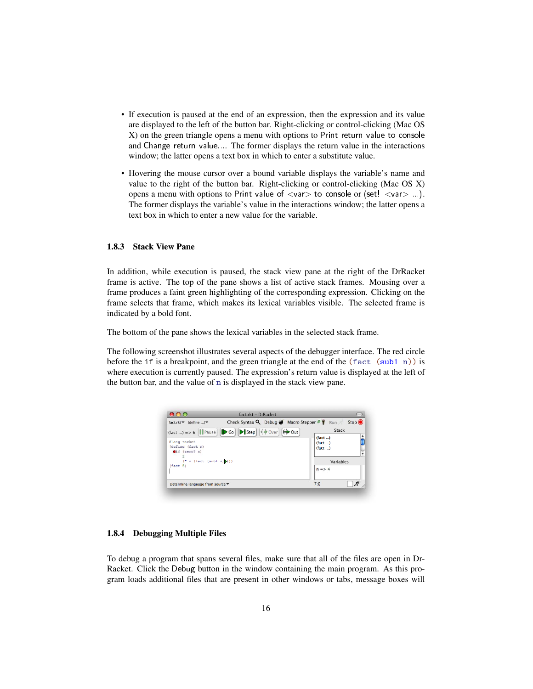- If execution is paused at the end of an expression, then the expression and its value are displayed to the left of the button bar. Right-clicking or control-clicking (Mac OS X) on the green triangle opens a menu with options to Print return value to console and Change return value.... The former displays the return value in the interactions window; the latter opens a text box in which to enter a substitute value.
- Hovering the mouse cursor over a bound variable displays the variable's name and value to the right of the button bar. Right-clicking or control-clicking (Mac OS X) opens a menu with options to Print value of  $\langle var \rangle$  to console or  $\langle set! \langle var \rangle$ ...). The former displays the variable's value in the interactions window; the latter opens a text box in which to enter a new value for the variable.

#### <span id="page-15-0"></span>1.8.3 Stack View Pane

In addition, while execution is paused, the stack view pane at the right of the DrRacket frame is active. The top of the pane shows a list of active stack frames. Mousing over a frame produces a faint green highlighting of the corresponding expression. Clicking on the frame selects that frame, which makes its lexical variables visible. The selected frame is indicated by a bold font.

The bottom of the pane shows the lexical variables in the selected stack frame.

The following screenshot illustrates several aspects of the debugger interface. The red circle before the if is a breakpoint, and the green triangle at the end of the  $(fact (sub1 n))$  is where execution is currently paused. The expression's return value is displayed at the left of the button bar, and the value of n is displayed in the stack view pane.

| 800                              | fact.rkt - DrRacket                         |                        |
|----------------------------------|---------------------------------------------|------------------------|
| fact.rkt v (define ) v           | Check Syntax Q Debug Macro Stepper # \N Run | Stop <sup>O</sup>      |
| $(fact) = > 6$    Pause          |                                             | Stack                  |
|                                  |                                             | $(fact)$               |
| #lang racket<br>(define (fact n) |                                             | (fact)                 |
| Oif (zero? n)                    |                                             | (fact )                |
|                                  |                                             |                        |
| $(* n (fact (sub1 n))))$         |                                             | Variables              |
| (fact <sub>5</sub> )             |                                             | $n \Rightarrow 4$      |
| Determine language from source ▼ |                                             | $\mathcal{Z}^e$<br>7:0 |

#### <span id="page-15-1"></span>1.8.4 Debugging Multiple Files

To debug a program that spans several files, make sure that all of the files are open in Dr-Racket. Click the Debug button in the window containing the main program. As this program loads additional files that are present in other windows or tabs, message boxes will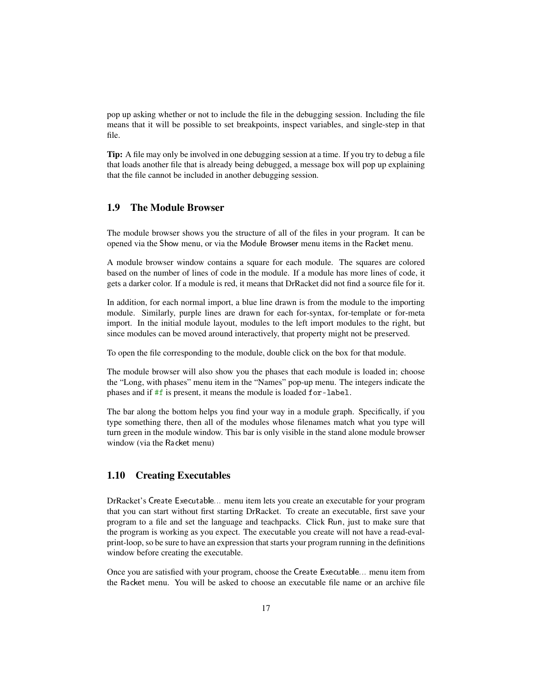pop up asking whether or not to include the file in the debugging session. Including the file means that it will be possible to set breakpoints, inspect variables, and single-step in that file.

Tip: A file may only be involved in one debugging session at a time. If you try to debug a file that loads another file that is already being debugged, a message box will pop up explaining that the file cannot be included in another debugging session.

## <span id="page-16-0"></span>1.9 The Module Browser

The module browser shows you the structure of all of the files in your program. It can be opened via the Show menu, or via the Module Browser menu items in the Racket menu.

A module browser window contains a square for each module. The squares are colored based on the number of lines of code in the module. If a module has more lines of code, it gets a darker color. If a module is red, it means that DrRacket did not find a source file for it.

In addition, for each normal import, a blue line drawn is from the module to the importing module. Similarly, purple lines are drawn for each for-syntax, for-template or for-meta import. In the initial module layout, modules to the left import modules to the right, but since modules can be moved around interactively, that property might not be preserved.

To open the file corresponding to the module, double click on the box for that module.

The module browser will also show you the phases that each module is loaded in; choose the "Long, with phases" menu item in the "Names" pop-up menu. The integers indicate the phases and if #f is present, it means the module is loaded for-label.

The bar along the bottom helps you find your way in a module graph. Specifically, if you type something there, then all of the modules whose filenames match what you type will turn green in the module window. This bar is only visible in the stand alone module browser window (via the Racket menu)

## <span id="page-16-1"></span>1.10 Creating Executables

DrRacket's Create Executable... menu item lets you create an executable for your program that you can start without first starting DrRacket. To create an executable, first save your program to a file and set the language and teachpacks. Click Run, just to make sure that the program is working as you expect. The executable you create will not have a read-evalprint-loop, so be sure to have an expression that starts your program running in the definitions window before creating the executable.

Once you are satisfied with your program, choose the Create Executable... menu item from the Racket menu. You will be asked to choose an executable file name or an archive file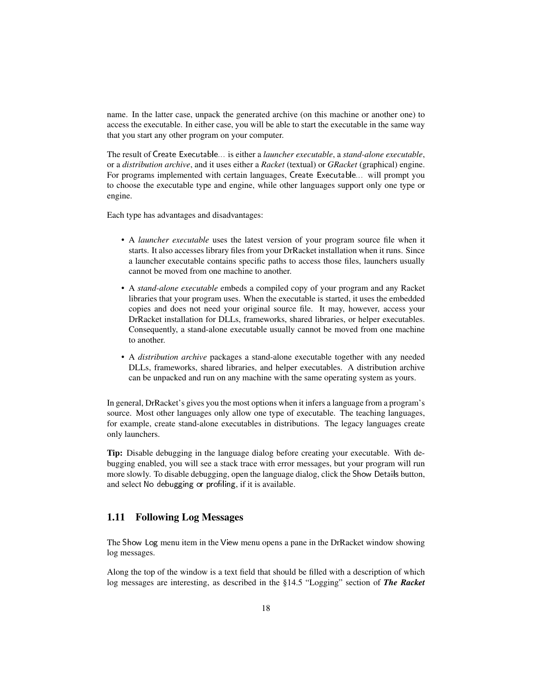name. In the latter case, unpack the generated archive (on this machine or another one) to access the executable. In either case, you will be able to start the executable in the same way that you start any other program on your computer.

The result of Create Executable... is either a *launcher executable*, a *stand-alone executable*, or a *distribution archive*, and it uses either a *Racket* (textual) or *GRacket* (graphical) engine. For programs implemented with certain languages, Create Executable... will prompt you to choose the executable type and engine, while other languages support only one type or engine.

Each type has advantages and disadvantages:

- A *launcher executable* uses the latest version of your program source file when it starts. It also accesses library files from your DrRacket installation when it runs. Since a launcher executable contains specific paths to access those files, launchers usually cannot be moved from one machine to another.
- A *stand-alone executable* embeds a compiled copy of your program and any Racket libraries that your program uses. When the executable is started, it uses the embedded copies and does not need your original source file. It may, however, access your DrRacket installation for DLLs, frameworks, shared libraries, or helper executables. Consequently, a stand-alone executable usually cannot be moved from one machine to another.
- A *distribution archive* packages a stand-alone executable together with any needed DLLs, frameworks, shared libraries, and helper executables. A distribution archive can be unpacked and run on any machine with the same operating system as yours.

In general, DrRacket's gives you the most options when it infers a language from a program's source. Most other languages only allow one type of executable. The teaching languages, for example, create stand-alone executables in distributions. The legacy languages create only launchers.

Tip: Disable debugging in the language dialog before creating your executable. With debugging enabled, you will see a stack trace with error messages, but your program will run more slowly. To disable debugging, open the language dialog, click the Show Details button, and select No debugging or profiling, if it is available.

## <span id="page-17-0"></span>1.11 Following Log Messages

The Show Log menu item in the View menu opens a pane in the DrRacket window showing log messages.

Along the top of the window is a text field that should be filled with a description of which log messages are interesting, as described in the §14.5 "Logging" section of *The Racket*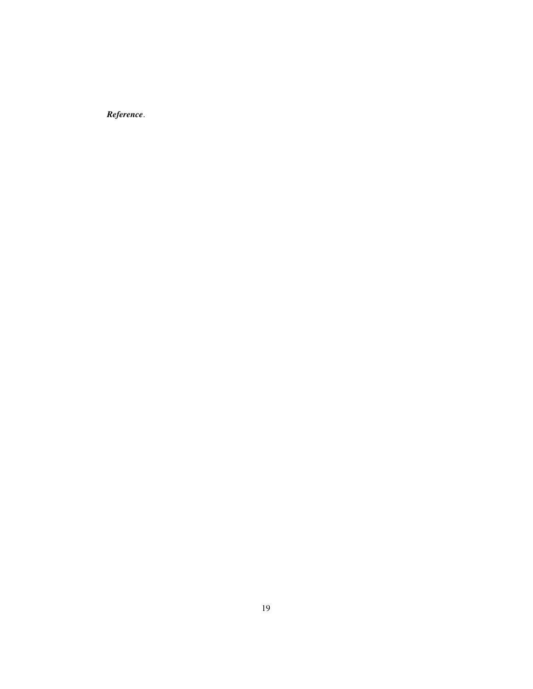*Reference*.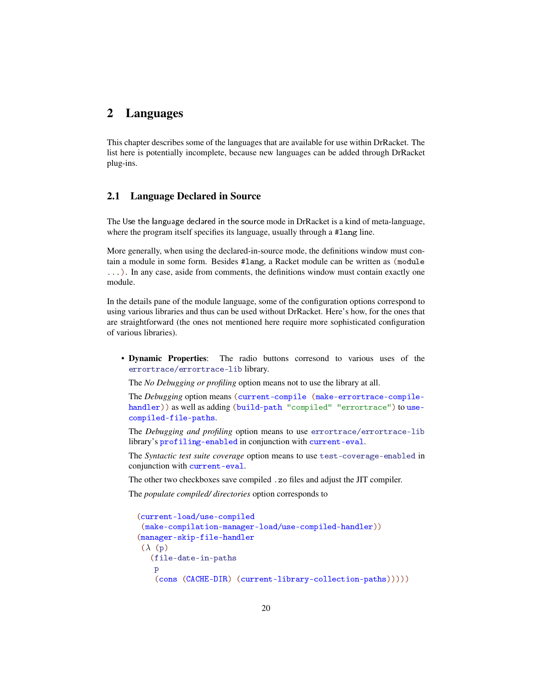## <span id="page-19-0"></span>2 Languages

This chapter describes some of the languages that are available for use within DrRacket. The list here is potentially incomplete, because new languages can be added through DrRacket plug-ins.

## <span id="page-19-1"></span>2.1 Language Declared in Source

The Use the language declared in the source mode in DrRacket is a kind of meta-language, where the program itself specifies its language, usually through a #lang line.

More generally, when using the declared-in-source mode, the definitions window must contain a module in some form. Besides #lang, a Racket module can be written as (module ...). In any case, aside from comments, the definitions window must contain exactly one module.

In the details pane of the module language, some of the configuration options correspond to using various libraries and thus can be used without DrRacket. Here's how, for the ones that are straightforward (the ones not mentioned here require more sophisticated configuration of various libraries).

• Dynamic Properties: The radio buttons corresond to various uses of the errortrace/errortrace-lib library.

The *No Debugging or profiling* option means not to use the library at all.

The *Debugging* option means (current-compile (make-errortrace-compilehandler)) as well as adding (build-path "compiled" "errortrace") to usecompiled-file-paths.

The *Debugging and profiling* option means to use errortrace/errortrace-lib library's profiling-enabled in conjunction with current-eval.

The *Syntactic test suite coverage* option means to use test-coverage-enabled in conjunction with current-eval.

The other two checkboxes save compiled .zo files and adjust the JIT compiler.

The *populate compiled/ directories* option corresponds to

```
(current-load/use-compiled
 (make-compilation-manager-load/use-compiled-handler))
(manager-skip-file-handler
(\lambda)(p)(file-date-in-paths
    p
    (cons (CACHE-DIR) (current-library-collection-paths)))))
```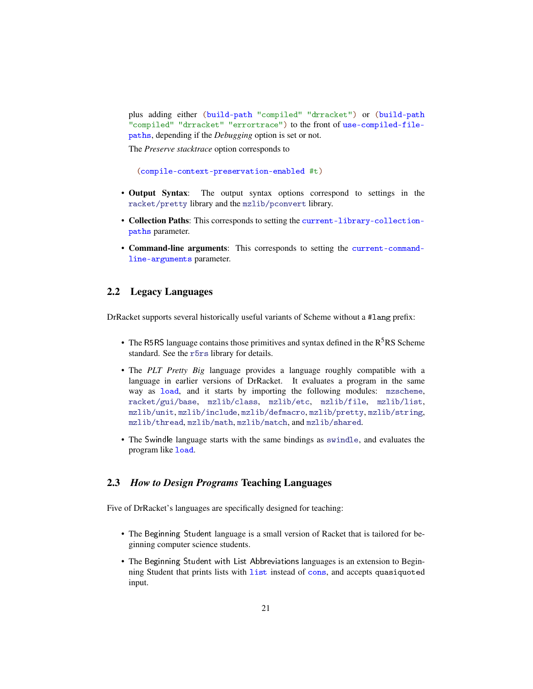plus adding either (build-path "compiled" "drracket") or (build-path "compiled" "drracket" "errortrace") to the front of use-compiled-filepaths, depending if the *Debugging* option is set or not.

The *Preserve stacktrace* option corresponds to

(compile-context-preservation-enabled #t)

- Output Syntax: The output syntax options correspond to settings in the racket/pretty library and the mzlib/pconvert library.
- Collection Paths: This corresponds to setting the current-library-collectionpaths parameter.
- Command-line arguments: This corresponds to setting the current-commandline-arguments parameter.

## <span id="page-20-0"></span>2.2 Legacy Languages

DrRacket supports several historically useful variants of Scheme without a #lang prefix:

- The R5RS language contains those primitives and syntax defined in the  $R<sup>5</sup>RS$  Scheme standard. See the r5rs library for details.
- The *PLT Pretty Big* language provides a language roughly compatible with a language in earlier versions of DrRacket. It evaluates a program in the same way as load, and it starts by importing the following modules: mzscheme, racket/gui/base, mzlib/class, mzlib/etc, mzlib/file, mzlib/list, mzlib/unit, mzlib/include, mzlib/defmacro, mzlib/pretty, mzlib/string, mzlib/thread, mzlib/math, mzlib/match, and mzlib/shared.
- The Swindle language starts with the same bindings as swindle, and evaluates the program like load.

## <span id="page-20-1"></span>2.3 *How to Design Programs* Teaching Languages

Five of DrRacket's languages are specifically designed for teaching:

- The Beginning Student language is a small version of Racket that is tailored for beginning computer science students.
- The Beginning Student with List Abbreviations languages is an extension to Beginning Student that prints lists with list instead of cons, and accepts quasiquoted input.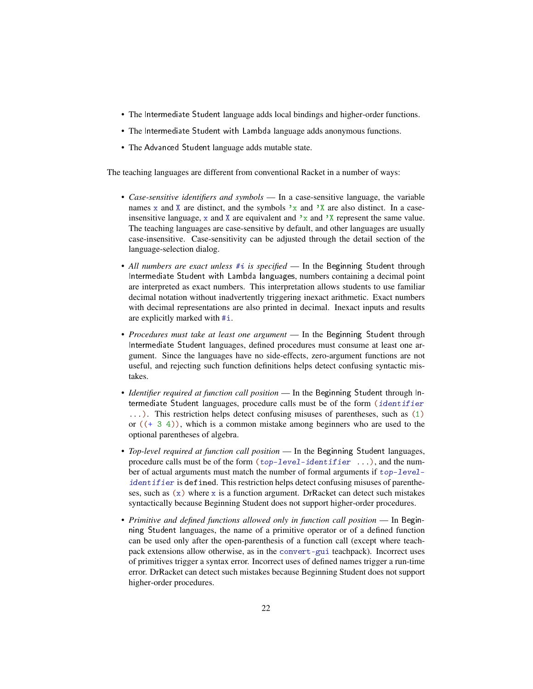- The Intermediate Student language adds local bindings and higher-order functions.
- The Intermediate Student with Lambda language adds anonymous functions.
- The Advanced Student language adds mutable state.

The teaching languages are different from conventional Racket in a number of ways:

- *Case-sensitive identifiers and symbols* In a case-sensitive language, the variable names x and X are distinct, and the symbols  $x$  and  $x$  are also distinct. In a caseinsensitive language, x and X are equivalent and  $x$  and  $x$  represent the same value. The teaching languages are case-sensitive by default, and other languages are usually case-insensitive. Case-sensitivity can be adjusted through the detail section of the language-selection dialog.
- *All numbers are exact unless* #*i is specified* In the Beginning Student through Intermediate Student with Lambda languages, numbers containing a decimal point are interpreted as exact numbers. This interpretation allows students to use familiar decimal notation without inadvertently triggering inexact arithmetic. Exact numbers with decimal representations are also printed in decimal. Inexact inputs and results are explicitly marked with #i.
- *Procedures must take at least one argument* In the Beginning Student through Intermediate Student languages, defined procedures must consume at least one argument. Since the languages have no side-effects, zero-argument functions are not useful, and rejecting such function definitions helps detect confusing syntactic mistakes.
- *Identifier required at function call position* In the Beginning Student through Intermediate Student languages, procedure calls must be of the form (identifier ...). This restriction helps detect confusing misuses of parentheses, such as (1) or  $((+ 3 4))$ , which is a common mistake among beginners who are used to the optional parentheses of algebra.
- *Top-level required at function call position* In the Beginning Student languages, procedure calls must be of the form  $(top-level-identifier \dots)$ , and the number of actual arguments must match the number of formal arguments if top-levelidentifier is defined. This restriction helps detect confusing misuses of parentheses, such as  $(x)$  where x is a function argument. DrRacket can detect such mistakes syntactically because Beginning Student does not support higher-order procedures.
- *Primitive and defined functions allowed only in function call position* In Beginning Student languages, the name of a primitive operator or of a defined function can be used only after the open-parenthesis of a function call (except where teachpack extensions allow otherwise, as in the convert-gui teachpack). Incorrect uses of primitives trigger a syntax error. Incorrect uses of defined names trigger a run-time error. DrRacket can detect such mistakes because Beginning Student does not support higher-order procedures.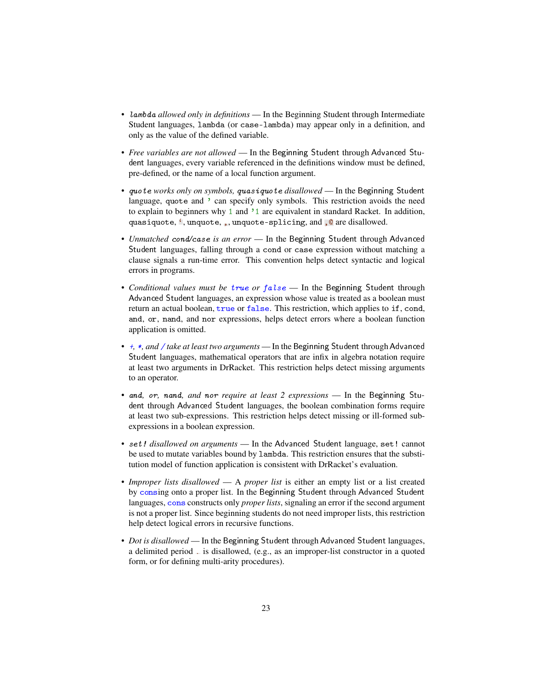- lambda *allowed only in definitions* In the Beginning Student through Intermediate Student languages, lambda (or case-lambda) may appear only in a definition, and only as the value of the defined variable.
- *Free variables are not allowed* In the Beginning Student through Advanced Student languages, every variable referenced in the definitions window must be defined, pre-defined, or the name of a local function argument.
- quote *works only on symbols,* quasiquote *disallowed* In the Beginning Student language, quote and ' can specify only symbols. This restriction avoids the need to explain to beginners why 1 and '1 are equivalent in standard Racket. In addition, quasiquote, ', unquote, ,, unquote-splicing, and , @ are disallowed.
- *Unmatched* cond*/*case *is an error* In the Beginning Student through Advanced Student languages, falling through a cond or case expression without matching a clause signals a run-time error. This convention helps detect syntactic and logical errors in programs.
- *Conditional values must be* true *or* false In the Beginning Student through Advanced Student languages, an expression whose value is treated as a boolean must return an actual boolean, true or false. This restriction, which applies to if, cond, and, or, nand, and nor expressions, helps detect errors where a boolean function application is omitted.
- +*,* \**, and* / *take at least two arguments* In the Beginning Student through Advanced Student languages, mathematical operators that are infix in algebra notation require at least two arguments in DrRacket. This restriction helps detect missing arguments to an operator.
- and*,* or*,* nand*, and* nor *require at least 2 expressions* In the Beginning Student through Advanced Student languages, the boolean combination forms require at least two sub-expressions. This restriction helps detect missing or ill-formed subexpressions in a boolean expression.
- set! *disallowed on arguments* In the Advanced Student language, set! cannot be used to mutate variables bound by lambda. This restriction ensures that the substitution model of function application is consistent with DrRacket's evaluation.
- *Improper lists disallowed* A *proper list* is either an empty list or a list created by consing onto a proper list. In the Beginning Student through Advanced Student languages, cons constructs only *proper lists*, signaling an error if the second argument is not a proper list. Since beginning students do not need improper lists, this restriction help detect logical errors in recursive functions.
- *Dot is disallowed* In the Beginning Student through Advanced Student languages, a delimited period . is disallowed, (e.g., as an improper-list constructor in a quoted form, or for defining multi-arity procedures).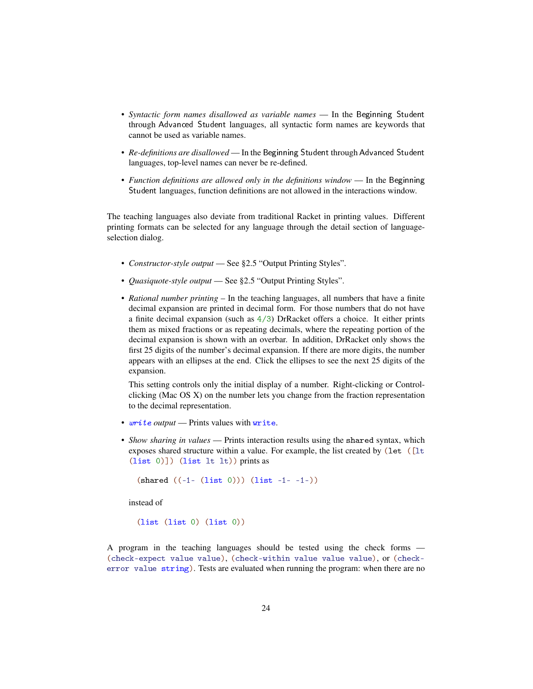- *Syntactic form names disallowed as variable names* In the Beginning Student through Advanced Student languages, all syntactic form names are keywords that cannot be used as variable names.
- *Re-definitions are disallowed* In the Beginning Student through Advanced Student languages, top-level names can never be re-defined.
- *Function definitions are allowed only in the definitions window* In the Beginning Student languages, function definitions are not allowed in the interactions window.

The teaching languages also deviate from traditional Racket in printing values. Different printing formats can be selected for any language through the detail section of languageselection dialog.

- *Constructor-style output* See §2.5 "Output Printing Styles".
- *Quasiquote-style output* See §2.5 "Output Printing Styles".
- *Rational number printing* In the teaching languages, all numbers that have a finite decimal expansion are printed in decimal form. For those numbers that do not have a finite decimal expansion (such as  $4/3$ ) DrRacket offers a choice. It either prints them as mixed fractions or as repeating decimals, where the repeating portion of the decimal expansion is shown with an overbar. In addition, DrRacket only shows the first 25 digits of the number's decimal expansion. If there are more digits, the number appears with an ellipses at the end. Click the ellipses to see the next 25 digits of the expansion.

This setting controls only the initial display of a number. Right-clicking or Controlclicking (Mac OS X) on the number lets you change from the fraction representation to the decimal representation.

- write *output* Prints values with write.
- *Show sharing in values* Prints interaction results using the shared syntax, which exposes shared structure within a value. For example, the list created by (let ([lt]) (list 0)]) (list lt lt)) prints as

```
(s \text{hared } ((-1 - (list 0)))) (list -1 - (-1))
```
instead of

(list (list 0) (list 0))

A program in the teaching languages should be tested using the check forms — (check-expect value value), (check-within value value value), or (checkerror value string). Tests are evaluated when running the program: when there are no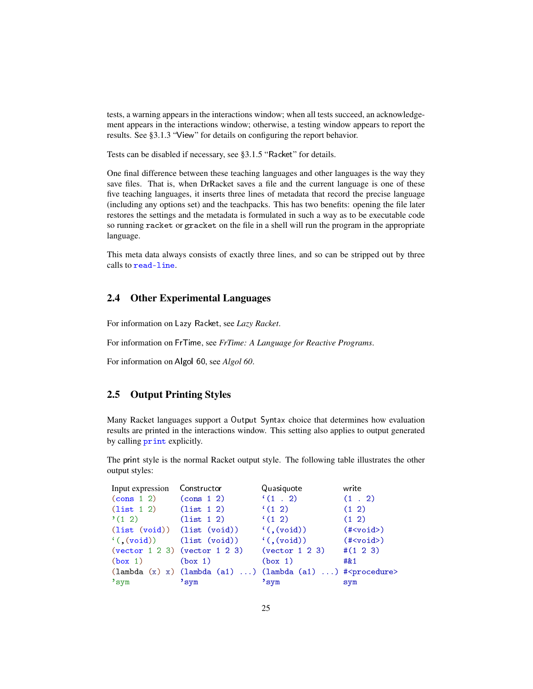tests, a warning appears in the interactions window; when all tests succeed, an acknowledgement appears in the interactions window; otherwise, a testing window appears to report the results. See §3.1.3 "View" for details on configuring the report behavior.

Tests can be disabled if necessary, see §3.1.5 "Racket" for details.

One final difference between these teaching languages and other languages is the way they save files. That is, when DrRacket saves a file and the current language is one of these five teaching languages, it inserts three lines of metadata that record the precise language (including any options set) and the teachpacks. This has two benefits: opening the file later restores the settings and the metadata is formulated in such a way as to be executable code so running racket or gracket on the file in a shell will run the program in the appropriate language.

This meta data always consists of exactly three lines, and so can be stripped out by three calls to read-line.

## <span id="page-24-0"></span>2.4 Other Experimental Languages

For information on Lazy Racket, see *Lazy Racket*.

For information on FrTime, see *FrTime: A Language for Reactive Programs*.

For information on Algol 60, see *Algol 60*.

## <span id="page-24-1"></span>2.5 Output Printing Styles

Many Racket languages support a Output Syntax choice that determines how evaluation results are printed in the interactions window. This setting also applies to output generated by calling print explicitly.

The print style is the normal Racket output style. The following table illustrates the other output styles:

| Input expression                                        | Constructor                                                    | Quasiquote           | write         |
|---------------------------------------------------------|----------------------------------------------------------------|----------------------|---------------|
| $\frac{\cosh 12}{\cosh 12}$ $\frac{\cosh 12}{\cosh 22}$ |                                                                | (1.2)                | $(1 \cdot 2)$ |
| $(list 1 2)$ $(list 1 2)$                               |                                                                | $(1 \ 2)$            | $(1 \ 2)$     |
| $(12)$ $(list 12)$                                      |                                                                | $(1 \ 2)$            | $(1 \ 2)$     |
| (list (void)) (list (void))                             |                                                                | ((, (void))          | $(*void>)$    |
| $((\text{void}))$ $(\text{list } (\text{void}))$        |                                                                | $\langle$ (, (void)) | $(**void>)$   |
|                                                         | $(vector 1 2 3)$ $(vector 1 2 3)$ $(vector 1 2 3)$             |                      | $\#(1\ 2\ 3)$ |
| (box <sub>1</sub> )                                     | (box <sub>1</sub> )                                            | (box 1)              | #81           |
|                                                         | $(\text{lambda}(x) x) (\text{lambda}(a1))(\text{lambda}(a1)))$ |                      |               |
| $'$ sym                                                 | $'$ sym                                                        | "sym                 | sym           |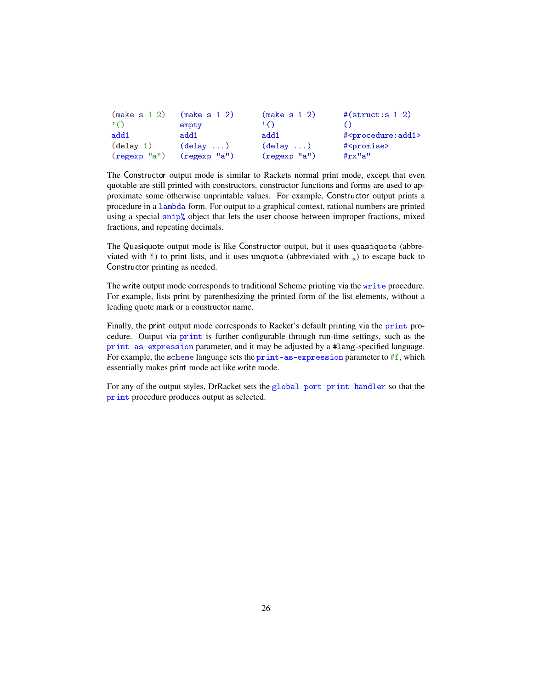| $(make-s 1 2)$ | $(make-s 1 2)$         | $(make-s 1 2)$         | $#($ struct:s 1 2)                  |
|----------------|------------------------|------------------------|-------------------------------------|
| $\cdot$ ()     | empty                  | $\lq\lq$               |                                     |
| add1           | add1                   | add1                   | # <procedure:add1></procedure:add1> |
| (delay 1)      | $(\text{delay} \dots)$ | $(\text{delay} \dots)$ | # <promise></promise>               |
| $(regexp$ "a") | $(regexp$ "a")         | $(regexp$ "a")         | $\#rx"a"$                           |

The Constructor output mode is similar to Rackets normal print mode, except that even quotable are still printed with constructors, constructor functions and forms are used to approximate some otherwise unprintable values. For example, Constructor output prints a procedure in a lambda form. For output to a graphical context, rational numbers are printed using a special  $\sinh \theta$  object that lets the user choose between improper fractions, mixed fractions, and repeating decimals.

The Quasiquote output mode is like Constructor output, but it uses quasiquote (abbreviated with  $\epsilon$ ) to print lists, and it uses unquote (abbreviated with  $\epsilon$ ) to escape back to Constructor printing as needed.

The write output mode corresponds to traditional Scheme printing via the write procedure. For example, lists print by parenthesizing the printed form of the list elements, without a leading quote mark or a constructor name.

Finally, the print output mode corresponds to Racket's default printing via the print procedure. Output via print is further configurable through run-time settings, such as the print-as-expression parameter, and it may be adjusted by a #lang-specified language. For example, the scheme language sets the print-as-expression parameter to #f, which essentially makes print mode act like write mode.

For any of the output styles, DrRacket sets the global-port-print-handler so that the print procedure produces output as selected.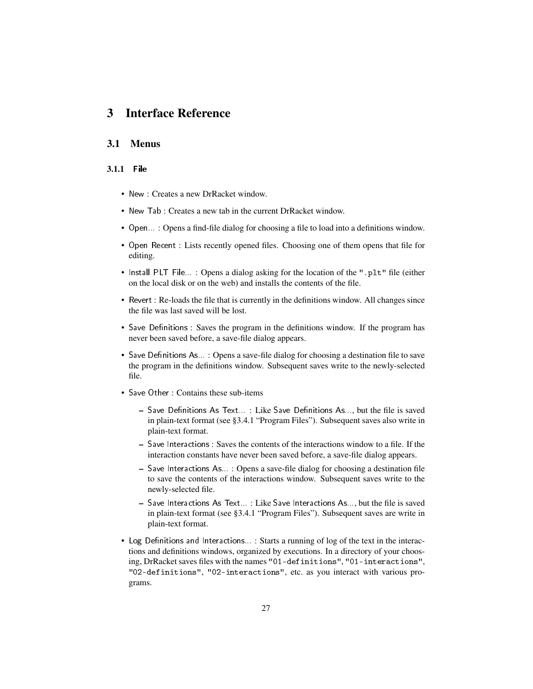# <span id="page-26-0"></span>3 Interface Reference

## <span id="page-26-1"></span>3.1 Menus

#### <span id="page-26-2"></span>3.1.1 File

- New : Creates a new DrRacket window.
- New Tab : Creates a new tab in the current DrRacket window.
- Open... : Opens a find-file dialog for choosing a file to load into a definitions window.
- Open Recent : Lists recently opened files. Choosing one of them opens that file for editing.
- Install PLT File... : Opens a dialog asking for the location of the ".plt" file (either on the local disk or on the web) and installs the contents of the file.
- Revert : Re-loads the file that is currently in the definitions window. All changes since the file was last saved will be lost.
- Save Definitions : Saves the program in the definitions window. If the program has never been saved before, a save-file dialog appears.
- Save Definitions As... : Opens a save-file dialog for choosing a destination file to save the program in the definitions window. Subsequent saves write to the newly-selected file.
- Save Other : Contains these sub-items
	- $-$  Save Definitions As Text...: Like Save Definitions As..., but the file is saved in plain-text format (see §3.4.1 "Program Files"). Subsequent saves also write in plain-text format.
	- Save Interactions : Saves the contents of the interactions window to a file. If the interaction constants have never been saved before, a save-file dialog appears.
	- Save Interactions As... : Opens a save-file dialog for choosing a destination file to save the contents of the interactions window. Subsequent saves write to the newly-selected file.
	- Save Interactions As Text... : Like Save Interactions As..., but the file is saved in plain-text format (see §3.4.1 "Program Files"). Subsequent saves are write in plain-text format.
- Log Definitions and Interactions...: Starts a running of log of the text in the interactions and definitions windows, organized by executions. In a directory of your choosing, DrRacket saves files with the names "01-definitions", "01-interactions", "02-definitions", "02-interactions", etc. as you interact with various programs.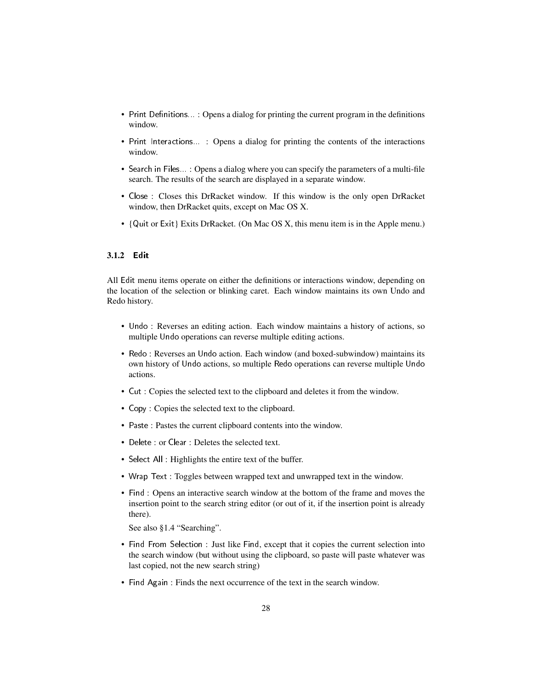- Print Definitions...: Opens a dialog for printing the current program in the definitions window.
- Print Interactions... : Opens a dialog for printing the contents of the interactions window.
- Search in Files... : Opens a dialog where you can specify the parameters of a multi-file search. The results of the search are displayed in a separate window.
- Close : Closes this DrRacket window. If this window is the only open DrRacket window, then DrRacket quits, except on Mac OS X.
- {Quit or Exit} Exits DrRacket. (On Mac OS X, this menu item is in the Apple menu.)

#### <span id="page-27-0"></span>3.1.2 Edit

All Edit menu items operate on either the definitions or interactions window, depending on the location of the selection or blinking caret. Each window maintains its own Undo and Redo history.

- Undo : Reverses an editing action. Each window maintains a history of actions, so multiple Undo operations can reverse multiple editing actions.
- Redo : Reverses an Undo action. Each window (and boxed-subwindow) maintains its own history of Undo actions, so multiple Redo operations can reverse multiple Undo actions.
- Cut : Copies the selected text to the clipboard and deletes it from the window.
- Copy : Copies the selected text to the clipboard.
- Paste : Pastes the current clipboard contents into the window.
- Delete : or Clear : Deletes the selected text.
- Select All : Highlights the entire text of the buffer.
- Wrap Text : Toggles between wrapped text and unwrapped text in the window.
- Find : Opens an interactive search window at the bottom of the frame and moves the insertion point to the search string editor (or out of it, if the insertion point is already there).

See also §1.4 "Searching".

- Find From Selection : Just like Find, except that it copies the current selection into the search window (but without using the clipboard, so paste will paste whatever was last copied, not the new search string)
- Find Again : Finds the next occurrence of the text in the search window.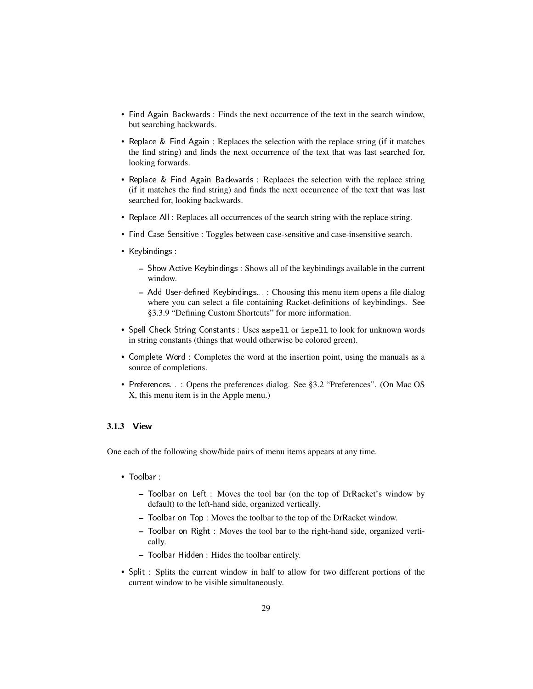- Find Again Backwards : Finds the next occurrence of the text in the search window, but searching backwards.
- Replace & Find Again : Replaces the selection with the replace string (if it matches the find string) and finds the next occurrence of the text that was last searched for, looking forwards.
- Replace & Find Again Backwards : Replaces the selection with the replace string (if it matches the find string) and finds the next occurrence of the text that was last searched for, looking backwards.
- Replace All : Replaces all occurrences of the search string with the replace string.
- Find Case Sensitive : Toggles between case-sensitive and case-insensitive search.
- Keybindings :
	- Show Active Keybindings : Shows all of the keybindings available in the current window.
	- Add User-defined Keybindings...: Choosing this menu item opens a file dialog where you can select a file containing Racket-definitions of keybindings. See §3.3.9 "Defining Custom Shortcuts" for more information.
- Spell Check String Constants : Uses aspell or ispell to look for unknown words in string constants (things that would otherwise be colored green).
- Complete Word : Completes the word at the insertion point, using the manuals as a source of completions.
- Preferences... : Opens the preferences dialog. See §3.2 "Preferences". (On Mac OS X, this menu item is in the Apple menu.)

## <span id="page-28-0"></span>3.1.3 View

One each of the following show/hide pairs of menu items appears at any time.

- Toolbar :
	- Toolbar on Left : Moves the tool bar (on the top of DrRacket's window by default) to the left-hand side, organized vertically.
	- Toolbar on Top : Moves the toolbar to the top of the DrRacket window.
	- Toolbar on Right : Moves the tool bar to the right-hand side, organized vertically.
	- Toolbar Hidden : Hides the toolbar entirely.
- Split : Splits the current window in half to allow for two different portions of the current window to be visible simultaneously.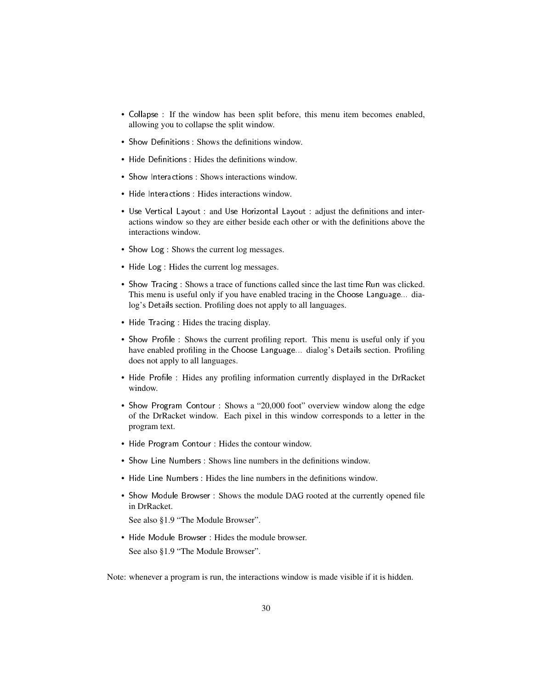- Collapse : If the window has been split before, this menu item becomes enabled, allowing you to collapse the split window.
- Show Definitions: Shows the definitions window.
- Hide Definitions: Hides the definitions window.
- Show Interactions : Shows interactions window.
- Hide Interactions : Hides interactions window.
- Use Vertical Layout : and Use Horizontal Layout : adjust the definitions and interactions window so they are either beside each other or with the definitions above the interactions window.
- Show Log : Shows the current log messages.
- Hide Log : Hides the current log messages.
- Show Tracing : Shows a trace of functions called since the last time Run was clicked. This menu is useful only if you have enabled tracing in the Choose Language... dialog's Details section. Profiling does not apply to all languages.
- Hide Tracing : Hides the tracing display.
- Show Profile : Shows the current profiling report. This menu is useful only if you have enabled profiling in the Choose Language... dialog's Details section. Profiling does not apply to all languages.
- Hide Profile : Hides any profiling information currently displayed in the DrRacket window.
- Show Program Contour : Shows a "20,000 foot" overview window along the edge of the DrRacket window. Each pixel in this window corresponds to a letter in the program text.
- Hide Program Contour : Hides the contour window.
- Show Line Numbers : Shows line numbers in the definitions window.
- Hide Line Numbers : Hides the line numbers in the definitions window.
- Show Module Browser : Shows the module DAG rooted at the currently opened file in DrRacket.

See also §1.9 "The Module Browser".

• Hide Module Browser : Hides the module browser. See also §1.9 "The Module Browser".

Note: whenever a program is run, the interactions window is made visible if it is hidden.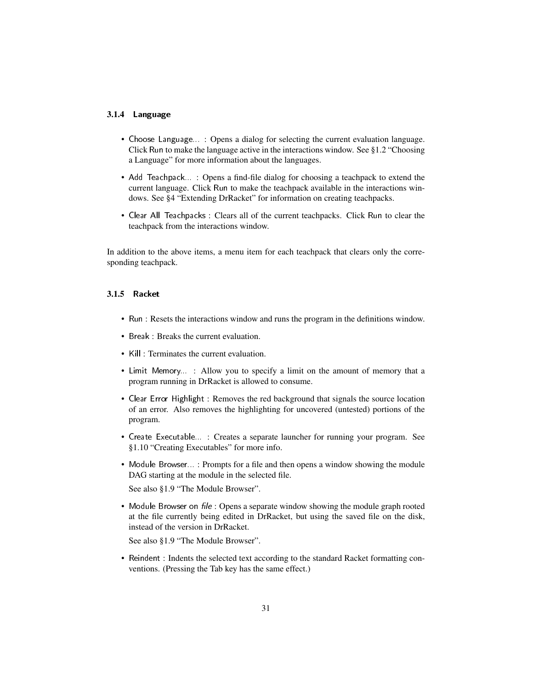#### <span id="page-30-0"></span>3.1.4 Language

- Choose Language... : Opens a dialog for selecting the current evaluation language. Click Run to make the language active in the interactions window. See §1.2 "Choosing a Language" for more information about the languages.
- Add Teachpack... : Opens a find-file dialog for choosing a teachpack to extend the current language. Click Run to make the teachpack available in the interactions windows. See §4 "Extending DrRacket" for information on creating teachpacks.
- Clear All Teachpacks : Clears all of the current teachpacks. Click Run to clear the teachpack from the interactions window.

In addition to the above items, a menu item for each teachpack that clears only the corresponding teachpack.

#### <span id="page-30-1"></span>3.1.5 Racket

- Run : Resets the interactions window and runs the program in the definitions window.
- Break : Breaks the current evaluation.
- Kill : Terminates the current evaluation.
- Limit Memory... : Allow you to specify a limit on the amount of memory that a program running in DrRacket is allowed to consume.
- Clear Error Highlight : Removes the red background that signals the source location of an error. Also removes the highlighting for uncovered (untested) portions of the program.
- Create Executable... : Creates a separate launcher for running your program. See §1.10 "Creating Executables" for more info.
- Module Browser... : Prompts for a file and then opens a window showing the module DAG starting at the module in the selected file.

See also §1.9 "The Module Browser".

• Module Browser on  $file$ : Opens a separate window showing the module graph rooted at the file currently being edited in DrRacket, but using the saved file on the disk, instead of the version in DrRacket.

See also §1.9 "The Module Browser".

• Reindent : Indents the selected text according to the standard Racket formatting conventions. (Pressing the Tab key has the same effect.)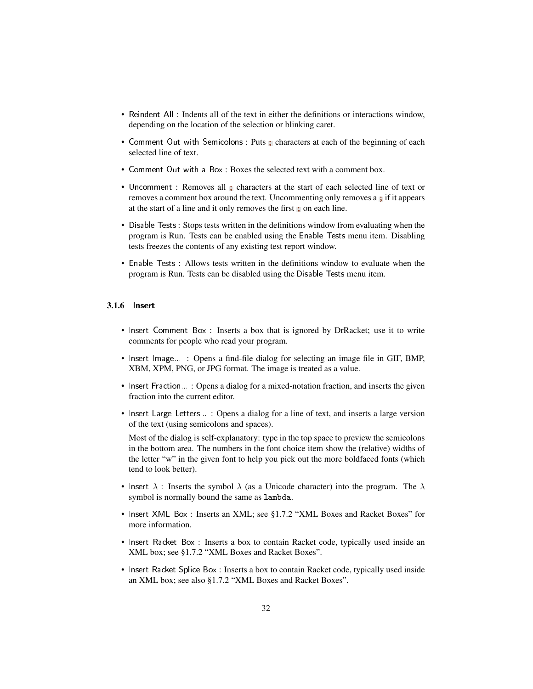- Reindent All : Indents all of the text in either the definitions or interactions window, depending on the location of the selection or blinking caret.
- Comment Out with Semicolons : Puts ; characters at each of the beginning of each selected line of text.
- Comment Out with a Box : Boxes the selected text with a comment box.
- Uncomment : Removes all ; characters at the start of each selected line of text or removes a comment box around the text. Uncommenting only removes a ; if it appears at the start of a line and it only removes the first ; on each line.
- Disable Tests : Stops tests written in the definitions window from evaluating when the program is Run. Tests can be enabled using the Enable Tests menu item. Disabling tests freezes the contents of any existing test report window.
- Enable Tests : Allows tests written in the definitions window to evaluate when the program is Run. Tests can be disabled using the Disable Tests menu item.

#### <span id="page-31-0"></span>3.1.6 Insert

- Insert Comment Box : Inserts a box that is ignored by DrRacket; use it to write comments for people who read your program.
- Insert Image... : Opens a find-file dialog for selecting an image file in GIF, BMP, XBM, XPM, PNG, or JPG format. The image is treated as a value.
- Insert Fraction... : Opens a dialog for a mixed-notation fraction, and inserts the given fraction into the current editor.
- Insert Large Letters... : Opens a dialog for a line of text, and inserts a large version of the text (using semicolons and spaces).

Most of the dialog is self-explanatory: type in the top space to preview the semicolons in the bottom area. The numbers in the font choice item show the (relative) widths of the letter "w" in the given font to help you pick out the more boldfaced fonts (which tend to look better).

- Insert  $\lambda$  : Inserts the symbol  $\lambda$  (as a Unicode character) into the program. The  $\lambda$ symbol is normally bound the same as lambda.
- Insert XML Box : Inserts an XML; see §1.7.2 "XML Boxes and Racket Boxes" for more information.
- Insert Racket Box : Inserts a box to contain Racket code, typically used inside an XML box; see §1.7.2 "XML Boxes and Racket Boxes".
- Insert Racket Splice Box : Inserts a box to contain Racket code, typically used inside an XML box; see also §1.7.2 "XML Boxes and Racket Boxes".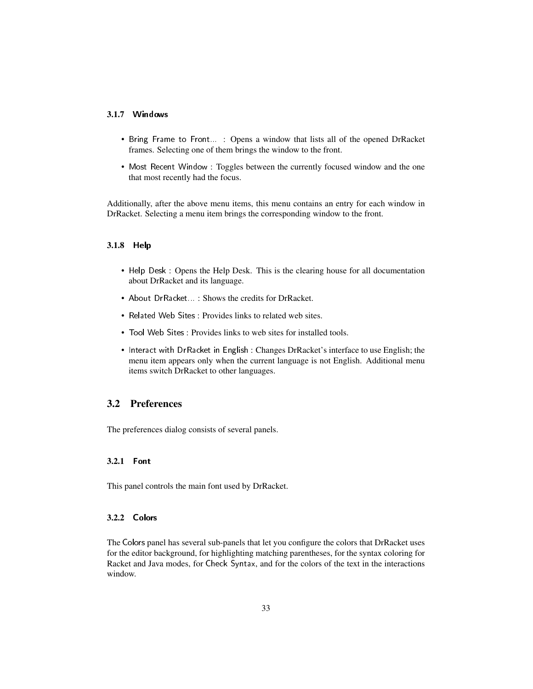#### <span id="page-32-0"></span>3.1.7 Windows

- Bring Frame to Front... : Opens a window that lists all of the opened DrRacket frames. Selecting one of them brings the window to the front.
- Most Recent Window : Toggles between the currently focused window and the one that most recently had the focus.

Additionally, after the above menu items, this menu contains an entry for each window in DrRacket. Selecting a menu item brings the corresponding window to the front.

#### <span id="page-32-1"></span>3.1.8 Help

- Help Desk : Opens the Help Desk. This is the clearing house for all documentation about DrRacket and its language.
- About DrRacket... : Shows the credits for DrRacket.
- Related Web Sites : Provides links to related web sites.
- Tool Web Sites : Provides links to web sites for installed tools.
- Interact with DrRacket in English : Changes DrRacket's interface to use English; the menu item appears only when the current language is not English. Additional menu items switch DrRacket to other languages.

## <span id="page-32-2"></span>3.2 Preferences

The preferences dialog consists of several panels.

#### <span id="page-32-3"></span>3.2.1 Font

This panel controls the main font used by DrRacket.

## <span id="page-32-4"></span>3.2.2 Colors

The Colors panel has several sub-panels that let you configure the colors that DrRacket uses for the editor background, for highlighting matching parentheses, for the syntax coloring for Racket and Java modes, for Check Syntax, and for the colors of the text in the interactions window.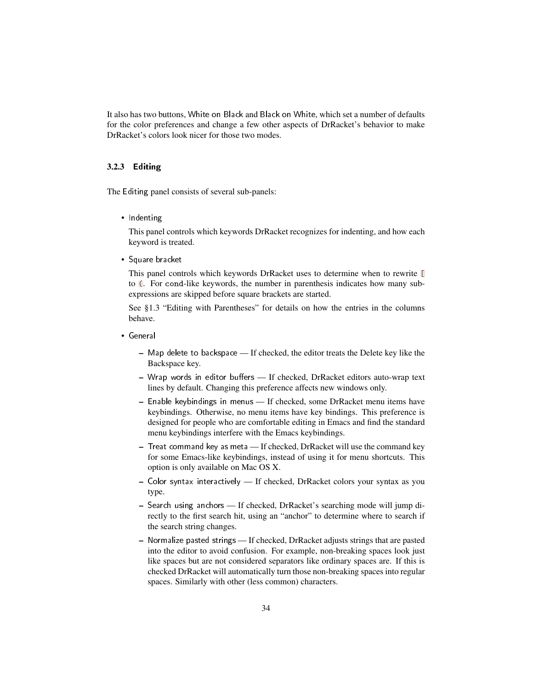It also has two buttons, White on Black and Black on White, which set a number of defaults for the color preferences and change a few other aspects of DrRacket's behavior to make DrRacket's colors look nicer for those two modes.

#### <span id="page-33-0"></span>3.2.3 Editing

The Editing panel consists of several sub-panels:

• Indenting

This panel controls which keywords DrRacket recognizes for indenting, and how each keyword is treated.

• Square bracket

This panel controls which keywords DrRacket uses to determine when to rewrite [ to (. For cond-like keywords, the number in parenthesis indicates how many subexpressions are skipped before square brackets are started.

See §1.3 "Editing with Parentheses" for details on how the entries in the columns behave.

- General
	- Map delete to backspace If checked, the editor treats the Delete key like the Backspace key.
	- Wrap words in editor buffers If checked, DrRacket editors auto-wrap text lines by default. Changing this preference affects new windows only.
	- Enable keybindings in menus If checked, some DrRacket menu items have keybindings. Otherwise, no menu items have key bindings. This preference is designed for people who are comfortable editing in Emacs and find the standard menu keybindings interfere with the Emacs keybindings.
	- Treat command key as meta If checked, DrRacket will use the command key for some Emacs-like keybindings, instead of using it for menu shortcuts. This option is only available on Mac OS X.
	- Color syntax interactively If checked, DrRacket colors your syntax as you type.
	- Search using anchors If checked, DrRacket's searching mode will jump directly to the first search hit, using an "anchor" to determine where to search if the search string changes.
	- Normalize pasted strings If checked, DrRacket adjusts strings that are pasted into the editor to avoid confusion. For example, non-breaking spaces look just like spaces but are not considered separators like ordinary spaces are. If this is checked DrRacket will automatically turn those non-breaking spaces into regular spaces. Similarly with other (less common) characters.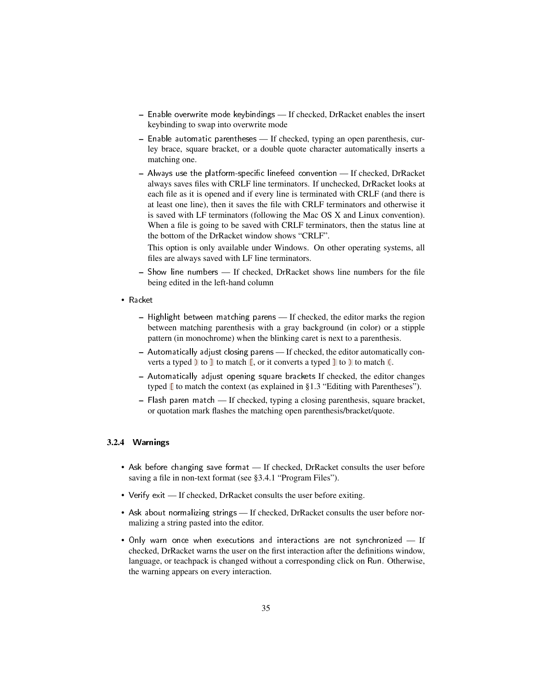- Enable overwrite mode keybindings If checked, DrRacket enables the insert keybinding to swap into overwrite mode
- Enable automatic parentheses If checked, typing an open parenthesis, curley brace, square bracket, or a double quote character automatically inserts a matching one.
- $-$  Always use the platform-specific linefeed convention  $-$  If checked, DrRacket always saves files with CRLF line terminators. If unchecked, DrRacket looks at each file as it is opened and if every line is terminated with CRLF (and there is at least one line), then it saves the file with CRLF terminators and otherwise it is saved with LF terminators (following the Mac OS X and Linux convention). When a file is going to be saved with CRLF terminators, then the status line at the bottom of the DrRacket window shows "CRLF".

This option is only available under Windows. On other operating systems, all files are always saved with LF line terminators.

- Show line numbers If checked, DrRacket shows line numbers for the file being edited in the left-hand column
- Racket
	- Highlight between matching parens If checked, the editor marks the region between matching parenthesis with a gray background (in color) or a stipple pattern (in monochrome) when the blinking caret is next to a parenthesis.
	- Automatically adjust closing parens If checked, the editor automatically converts a typed  $\overline{\phantom{a}}$  to  $\overline{\phantom{a}}$  to match  $\overline{\phantom{a}}$ , or it converts a typed  $\overline{\phantom{a}}$  to  $\overline{\phantom{a}}$  to match  $\overline{\phantom{a}}$ .
	- Automatically adjust opening square brackets If checked, the editor changes typed  $\Box$  to match the context (as explained in §1.3 "Editing with Parentheses").
	- Flash paren match If checked, typing a closing parenthesis, square bracket, or quotation mark flashes the matching open parenthesis/bracket/quote.

#### <span id="page-34-0"></span>3.2.4 Warnings

- Ask before changing save format If checked, DrRacket consults the user before saving a file in non-text format (see §3.4.1 "Program Files").
- Verify exit If checked, DrRacket consults the user before exiting.
- Ask about normalizing strings If checked, DrRacket consults the user before normalizing a string pasted into the editor.
- Only warn once when executions and interactions are not synchronized If checked, DrRacket warns the user on the first interaction after the definitions window, language, or teachpack is changed without a corresponding click on Run. Otherwise, the warning appears on every interaction.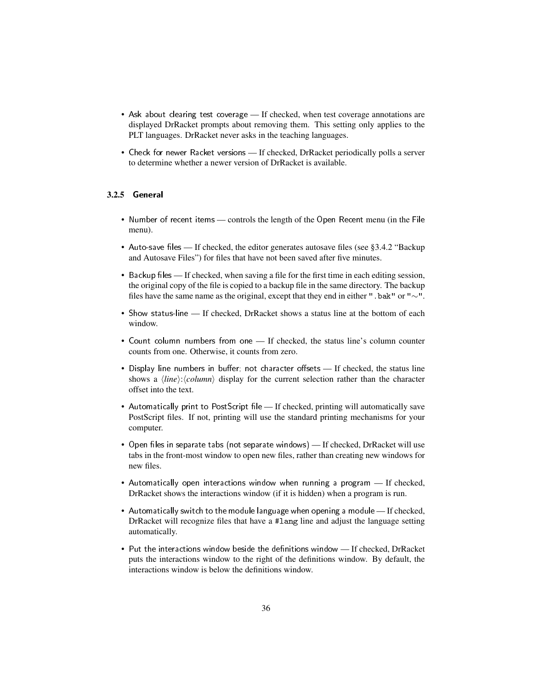- Ask about clearing test coverage If checked, when test coverage annotations are displayed DrRacket prompts about removing them. This setting only applies to the PLT languages. DrRacket never asks in the teaching languages.
- Check for newer Racket versions If checked, DrRacket periodically polls a server to determine whether a newer version of DrRacket is available.

#### <span id="page-35-0"></span>3.2.5 General

- Number of recent items controls the length of the Open Recent menu (in the File menu).
- Auto-save files If checked, the editor generates autosave files (see §3.4.2 "Backup and Autosave Files") for files that have not been saved after five minutes.
- Backup files If checked, when saving a file for the first time in each editing session, the original copy of the file is copied to a backup file in the same directory. The backup files have the same name as the original, except that they end in either ".bak" or "∼".
- Show status-line If checked, DrRacket shows a status line at the bottom of each window.
- Count column numbers from one If checked, the status line's column counter counts from one. Otherwise, it counts from zero.
- Display line numbers in buffer; not character offsets If checked, the status line shows a  $\langle line \rangle$ : $\langle column \rangle$  display for the current selection rather than the character offset into the text.
- Automatically print to PostScript file If checked, printing will automatically save PostScript files. If not, printing will use the standard printing mechanisms for your computer.
- Open files in separate tabs (not separate windows) If checked, DrRacket will use tabs in the front-most window to open new files, rather than creating new windows for new files.
- Automatically open interactions window when running a program If checked, DrRacket shows the interactions window (if it is hidden) when a program is run.
- Automatically switch to the module language when opening a module If checked, DrRacket will recognize files that have a #lang line and adjust the language setting automatically.
- Put the interactions window beside the definitions window If checked, DrRacket puts the interactions window to the right of the definitions window. By default, the interactions window is below the definitions window.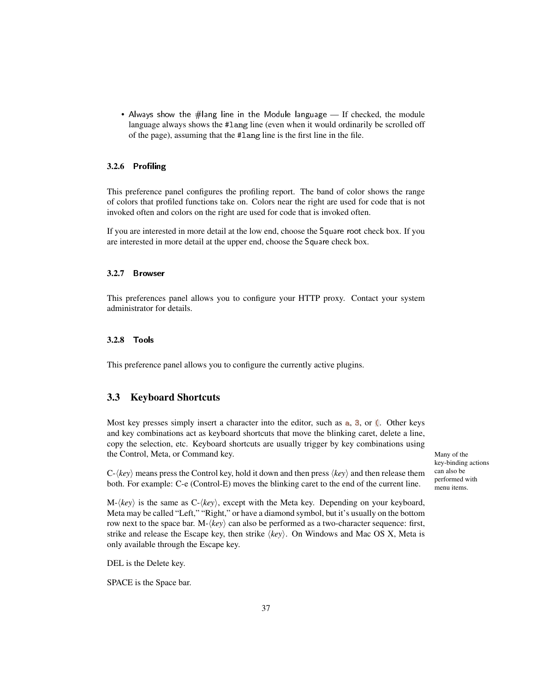• Always show the #lang line in the Module language — If checked, the module language always shows the #lang line (even when it would ordinarily be scrolled off of the page), assuming that the #lang line is the first line in the file.

#### <span id="page-36-0"></span>3.2.6 Profiling

This preference panel configures the profiling report. The band of color shows the range of colors that profiled functions take on. Colors near the right are used for code that is not invoked often and colors on the right are used for code that is invoked often.

If you are interested in more detail at the low end, choose the Square root check box. If you are interested in more detail at the upper end, choose the Square check box.

#### <span id="page-36-1"></span>3.2.7 Browser

This preferences panel allows you to configure your HTTP proxy. Contact your system administrator for details.

#### <span id="page-36-2"></span>3.2.8 Tools

This preference panel allows you to configure the currently active plugins.

## <span id="page-36-3"></span>3.3 Keyboard Shortcuts

Most key presses simply insert a character into the editor, such as a, 3, or (. Other keys and key combinations act as keyboard shortcuts that move the blinking caret, delete a line, copy the selection, etc. Keyboard shortcuts are usually trigger by key combinations using the Control, Meta, or Command key. Many of the Many of the Many of the Many of the Many of the Many of the Many of the Many of the Many of the Many of the Many of the Many of the Many of the Many of the Many of the Many of

 $C-\langle key \rangle$  means press the Control key, hold it down and then press  $\langle key \rangle$  and then release them both. For example: C-e (Control-E) moves the blinking caret to the end of the current line.

 $M-\langle key \rangle$  is the same as  $C-\langle key \rangle$ , except with the Meta key. Depending on your keyboard, Meta may be called "Left," "Right," or have a diamond symbol, but it's usually on the bottom row next to the space bar. M- $\langle key \rangle$  can also be performed as a two-character sequence: first, strike and release the Escape key, then strike  $\langle key \rangle$ . On Windows and Mac OS X, Meta is only available through the Escape key.

DEL is the Delete key.

SPACE is the Space bar.

key-binding actions can also be performed with menu items.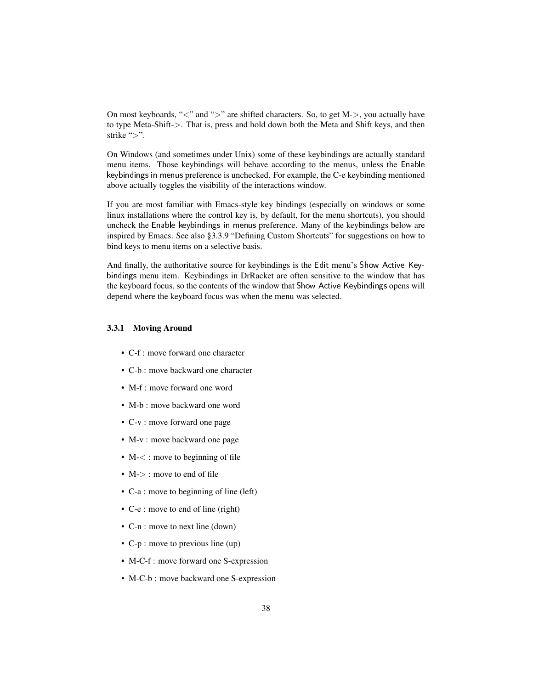On most keyboards, "<" and ">" are shifted characters. So, to get M->, you actually have to type Meta-Shift->. That is, press and hold down both the Meta and Shift keys, and then strike ">".

On Windows (and sometimes under Unix) some of these keybindings are actually standard menu items. Those keybindings will behave according to the menus, unless the Enable keybindings in menus preference is unchecked. For example, the C-e keybinding mentioned above actually toggles the visibility of the interactions window.

If you are most familiar with Emacs-style key bindings (especially on windows or some linux installations where the control key is, by default, for the menu shortcuts), you should uncheck the Enable keybindings in menus preference. Many of the keybindings below are inspired by Emacs. See also §3.3.9 "Defining Custom Shortcuts" for suggestions on how to bind keys to menu items on a selective basis.

And finally, the authoritative source for keybindings is the Edit menu's Show Active Keybindings menu item. Keybindings in DrRacket are often sensitive to the window that has the keyboard focus, so the contents of the window that Show Active Keybindings opens will depend where the keyboard focus was when the menu was selected.

#### <span id="page-37-0"></span>3.3.1 Moving Around

- C-f : move forward one character
- C-b : move backward one character
- M-f : move forward one word
- M-b : move backward one word
- C-v : move forward one page
- M-v : move backward one page
- M- $\lt$ : move to beginning of file
- M- $>$ : move to end of file
- C-a : move to beginning of line (left)
- C-e : move to end of line (right)
- C-n : move to next line (down)
- C-p : move to previous line (up)
- M-C-f : move forward one S-expression
- M-C-b : move backward one S-expression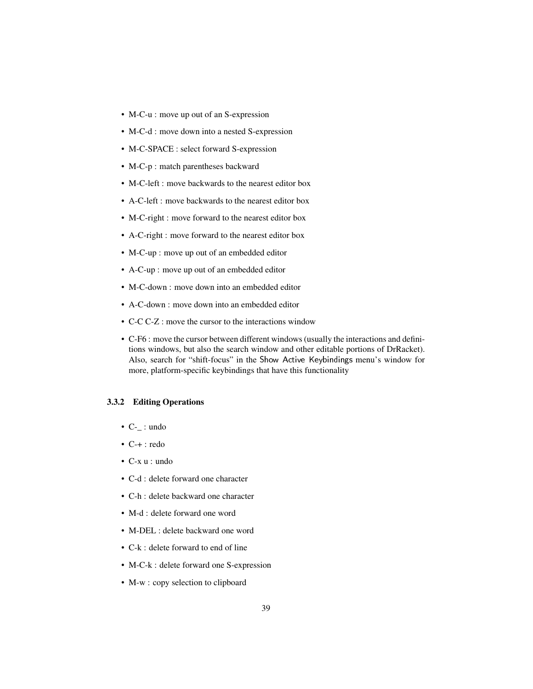- M-C-u : move up out of an S-expression
- M-C-d : move down into a nested S-expression
- M-C-SPACE : select forward S-expression
- M-C-p : match parentheses backward
- M-C-left : move backwards to the nearest editor box
- A-C-left : move backwards to the nearest editor box
- M-C-right : move forward to the nearest editor box
- A-C-right : move forward to the nearest editor box
- M-C-up : move up out of an embedded editor
- A-C-up : move up out of an embedded editor
- M-C-down : move down into an embedded editor
- A-C-down : move down into an embedded editor
- C-C C-Z : move the cursor to the interactions window
- C-F6 : move the cursor between different windows (usually the interactions and definitions windows, but also the search window and other editable portions of DrRacket). Also, search for "shift-focus" in the Show Active Keybindings menu's window for more, platform-specific keybindings that have this functionality

#### <span id="page-38-0"></span>3.3.2 Editing Operations

- $C_{-}$ : undo
- C-+ : redo
- C-x u : undo
- C-d : delete forward one character
- C-h : delete backward one character
- M-d : delete forward one word
- M-DEL : delete backward one word
- C-k : delete forward to end of line
- M-C-k : delete forward one S-expression
- M-w : copy selection to clipboard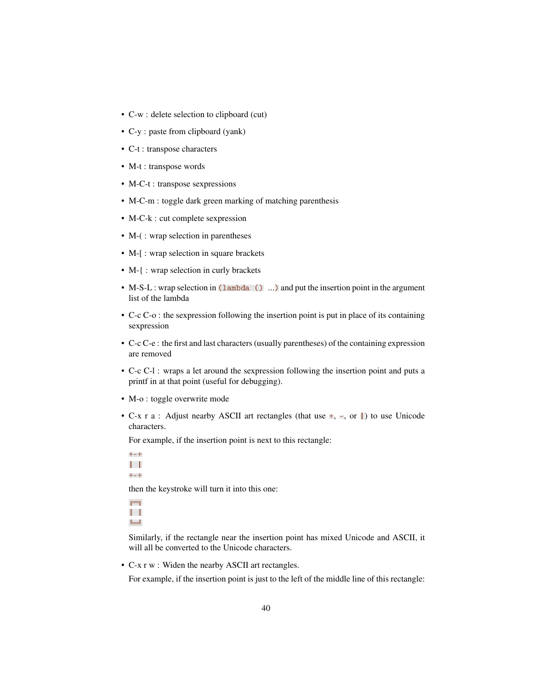- C-w : delete selection to clipboard (cut)
- C-y : paste from clipboard (yank)
- C-t : transpose characters
- M-t : transpose words
- M-C-t : transpose sexpressions
- M-C-m : toggle dark green marking of matching parenthesis
- M-C-k : cut complete sexpression
- M-(: wrap selection in parentheses
- M-[: wrap selection in square brackets
- M-{: wrap selection in curly brackets
- M-S-L : wrap selection in (lambda () ...) and put the insertion point in the argument list of the lambda
- C-c C-o : the sexpression following the insertion point is put in place of its containing sexpression
- C-c C-e : the first and last characters (usually parentheses) of the containing expression are removed
- C-c C-l : wraps a let around the sexpression following the insertion point and puts a printf in at that point (useful for debugging).
- M-o : toggle overwrite mode
- C-x r a : Adjust nearby ASCII art rectangles (that use  $\pm$ ,  $\pm$ , or  $\parallel$ ) to use Unicode characters.

For example, if the insertion point is next to this rectangle:

+-+  $\| \cdot \|$ +-+

then the keystroke will turn it into this one:

 $\Box$  $\|\cdot\|$  $\overline{\phantom{aa}}$ 

Similarly, if the rectangle near the insertion point has mixed Unicode and ASCII, it will all be converted to the Unicode characters.

• C-x r w : Widen the nearby ASCII art rectangles.

For example, if the insertion point is just to the left of the middle line of this rectangle: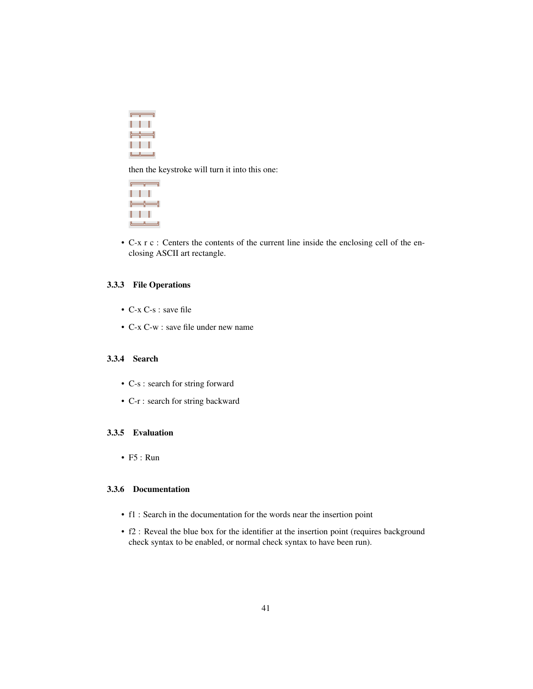|                                        | $\Box$          |
|----------------------------------------|-----------------|
| $\mathbb{L}$ $\mathbb{L}$ $\mathbb{L}$ |                 |
|                                        |                 |
| $\mathbb{L}$ and $\mathbb{L}$          |                 |
|                                        | لـــــــالــــا |

then the keystroke will turn it into this one:



• C-x r c : Centers the contents of the current line inside the enclosing cell of the enclosing ASCII art rectangle.

#### <span id="page-40-0"></span>3.3.3 File Operations

- C-x C-s : save file
- C-x C-w : save file under new name

## <span id="page-40-1"></span>3.3.4 Search

- C-s : search for string forward
- C-r : search for string backward

#### <span id="page-40-2"></span>3.3.5 Evaluation

• F5 : Run

#### <span id="page-40-3"></span>3.3.6 Documentation

- f1 : Search in the documentation for the words near the insertion point
- f2 : Reveal the blue box for the identifier at the insertion point (requires background check syntax to be enabled, or normal check syntax to have been run).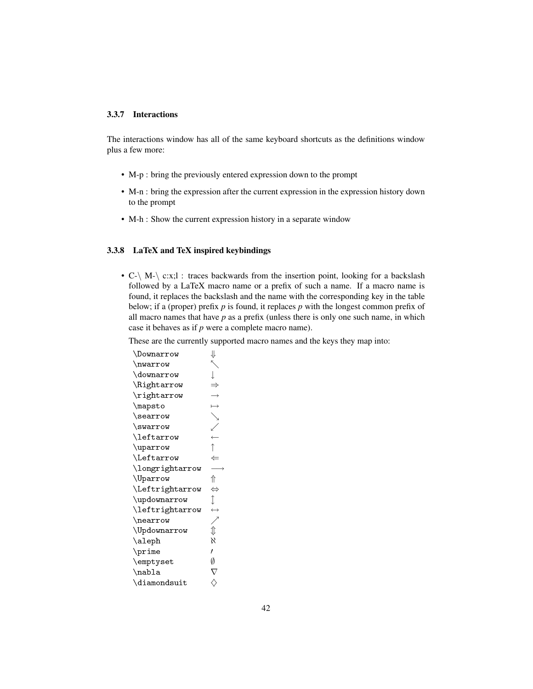#### <span id="page-41-0"></span>3.3.7 Interactions

The interactions window has all of the same keyboard shortcuts as the definitions window plus a few more:

- M-p : bring the previously entered expression down to the prompt
- M-n : bring the expression after the current expression in the expression history down to the prompt
- M-h : Show the current expression history in a separate window

#### <span id="page-41-1"></span>3.3.8 LaTeX and TeX inspired keybindings

• C- $\setminus$  M- $\setminus$  c:x;l : traces backwards from the insertion point, looking for a backslash followed by a LaTeX macro name or a prefix of such a name. If a macro name is found, it replaces the backslash and the name with the corresponding key in the table below; if a (proper) prefix *p* is found, it replaces *p* with the longest common prefix of all macro names that have *p* as a prefix (unless there is only one such name, in which case it behaves as if *p* were a complete macro name).

These are the currently supported macro names and the keys they map into:

| \Downarrow               | ⇓                 |
|--------------------------|-------------------|
| \nwarrow                 |                   |
| \downarrow               | $\overline{1}$    |
| \Rightarrow              | $\Rightarrow$     |
| \rightarrow              |                   |
| \mapsto                  |                   |
| \searrow                 |                   |
| \swarrow                 |                   |
| \leftarrow               |                   |
| \uparrow                 |                   |
| \Leftarrow               | $\Leftarrow$      |
| $\lambda$ longrightarrow |                   |
| \Uparrow                 | ⇑                 |
| \Leftrightarrow          | $\Leftrightarrow$ |
| \updownarrow             | $\hat{I}$         |
| \leftrightarrow          | $\leftrightarrow$ |
| \nearrow                 |                   |
| $\U$ pdownarrow          | ↥                 |
| \aleph                   | X                 |
| \prime                   | ı                 |
| \emptyset                | Ø                 |
| \nabla                   |                   |
| \diamondsuit             |                   |
|                          |                   |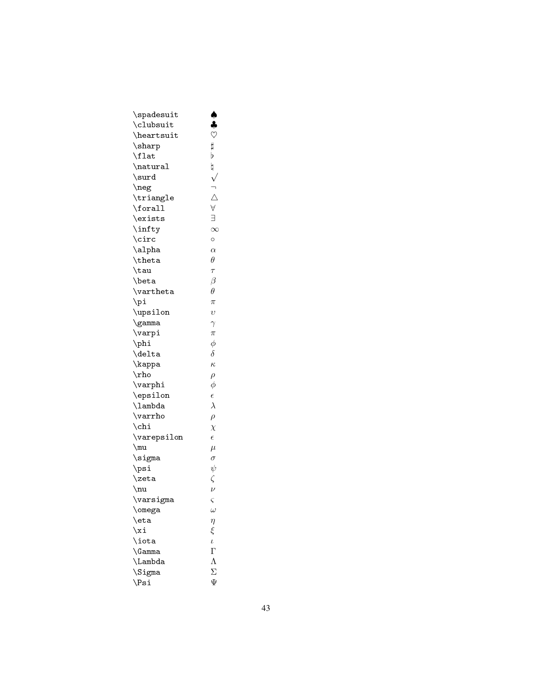| \spadesuit    |                     |
|---------------|---------------------|
| \clubsuit     | $\clubsuit$         |
| \heartsuit    |                     |
| \sharp        |                     |
| \flat         | b                   |
| \natural      | h                   |
| \surd         |                     |
| \neg          | ヘームマコス              |
| \triangle     |                     |
| \forall       |                     |
| \exists       |                     |
| \infty        |                     |
| \circ         | $\circ$             |
| \alpha        | $\alpha$            |
| \theta        | $\theta$            |
| \tau          | $\tau$              |
| \beta         | $\beta$             |
| \vartheta     | $\theta$            |
| $\pi$         | $\pi$               |
| \upsilon      | $\overline{v}$      |
| \gamma        | $\gamma$            |
| $\varphi$     | $\pi$               |
| \phi          | $\phi$              |
| \delta        | $\delta$            |
| \kappa        | $\kappa$            |
| $\ln$         | $\rho$              |
| \varphi       | $\phi$              |
| \epsilon      | $\epsilon$          |
| \lambda       | $\lambda$           |
| \varrho       | $\rho$              |
| $\chi$        | $\chi$              |
| \varepsilon   | $\epsilon$          |
| $\mu$         | $\mu$               |
| $\sin \theta$ | $\sigma$            |
| $\psi$        | $\psi$              |
| \zeta         | $\zeta$             |
| $\nu$         | $\overline{\nu}$    |
| \varsigma     | ς                   |
| \omega        | $\omega$            |
| \eta          |                     |
| \xi           | $\eta$<br>$\xi$     |
| \iota         | $\iota$             |
| \Gamma        | $\Gamma$            |
| \Lambda       | $\Lambda$           |
| \Sigma        | $\overline{\Sigma}$ |
| $\simeq$      | Ψ                   |
|               |                     |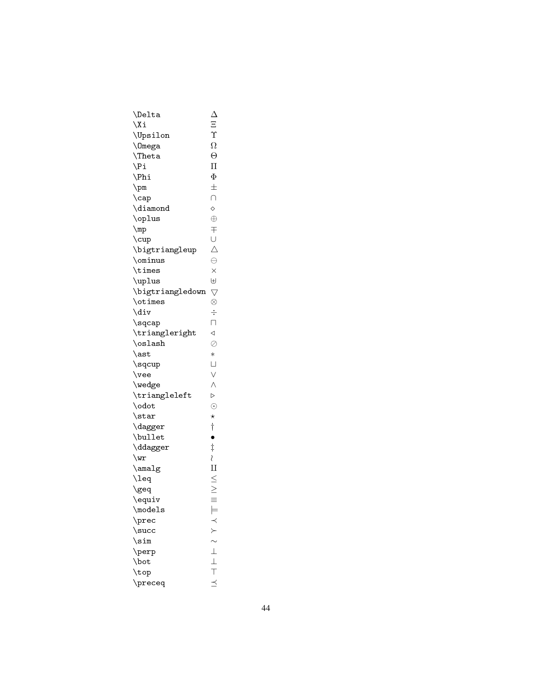| \Delta                            | Δ                  |
|-----------------------------------|--------------------|
| $\chi$ i                          | Ξ                  |
| \Upsilon                          | Υ                  |
| <i>\</i> Omega                    | Ω                  |
| $\Lambda$                         | $\Theta$           |
| $\n\vee$ Pi                       | $\prod$            |
| $\Phi$                            | Φ                  |
| $\pm$                             | $\pm$              |
| $\setminus$ cap                   | $\cup$             |
| $\lambda$ iamond                  | ♦                  |
| \oplus                            | $\oplus$           |
| $\n\mu$                           | $\mp$              |
| $\cup$                            | $\cup$             |
| $\big\backslash$ bigtriangleup    | Δ                  |
| \ominus                           | $\ominus$          |
| \times                            | $\times$           |
| \uplus                            | $\oplus$           |
| $\big\backslash$ bigtriangledown  | $\bigtriangledown$ |
| \otimes                           | $\otimes$          |
| \div                              | $\div$             |
| $\sqrt{\sqrt{2}}$                 | $\Box$             |
| $\verb \triangleright $           | ◁                  |
| \oslash                           | $\oslash$          |
| $\setminus$ ast                   | $\ast$             |
| \sqcup                            | $\cup$             |
| $\vee$ vee                        | $\vee$             |
| \wedge                            | $\wedge$           |
| $\verb \triangleleft $            | $\triangleright$   |
| \odot                             | $\odot$            |
| $\frac{\text{star}}{\text{star}}$ | $\star$            |
| $\backslash$ dagger               | $\dagger$          |
| \bullet                           | $\bullet$          |
| $\backslash$ ddagger              | $\dagger$          |
| $\sqrt{wr}$                       |                    |
| $\langle$ amalg                   | ≀<br>∐             |
| \leq                              |                    |
| \geq                              | $\leq$             |
| \equiv                            |                    |
| $\backslash$ models               | $\models$          |
| $\backslash$ prec                 |                    |
| \succ                             |                    |
| $\sin$                            |                    |
| $\verb \perp $                    | $\perp$            |
| \bot                              |                    |
| \top                              |                    |
| $\backslash$ preceq               |                    |
|                                   |                    |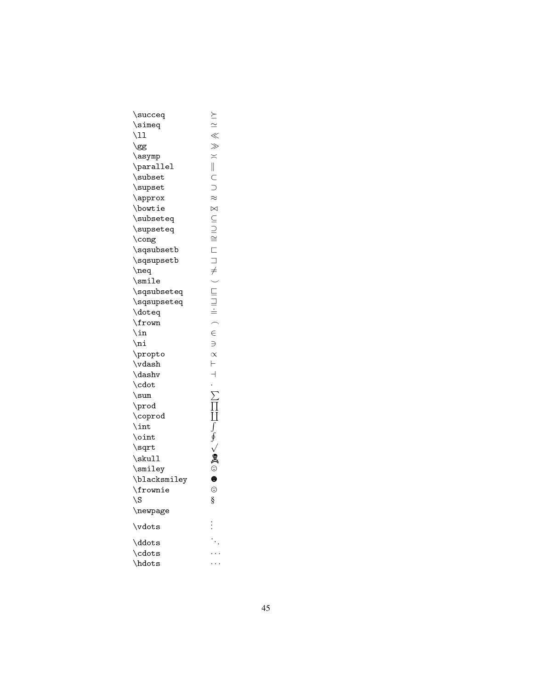| \succeq                  | $\succeq$                |
|--------------------------|--------------------------|
| \simeq                   | $\frac{1}{\sqrt{2}} \ll$ |
| $\setminus 11$           |                          |
| \gg                      |                          |
| \asymp                   | $\geq$                   |
| \parallel                | $\parallel$              |
| \subset                  |                          |
| $\text{supset}$          | C<br>D                   |
| $\upharpoonright$ approx | $\approx$                |
| \bowtie                  | $\bowtie$                |
| \subseteq                | $\subseteq$              |
| $\verb \supseteq $       |                          |
| \cong                    | $\cong$                  |
| $\verb \sgsubset $       |                          |
| $\verb \sgsupset $       |                          |
| $\neq$                   |                          |
| $\sinile$                |                          |
| $\verb \sgsubseteq $     | ロコチ) ニコミ                 |
| \sqsupseteq              |                          |
| \doteq                   |                          |
| \frown                   | $\overline{a}$           |
| $\ln$                    | $\in$                    |
| $\ln i$                  | $\Rightarrow$            |
| \propto                  | $\propto$                |
| $\forall$ dash           | $\vdash$                 |
| \dashv                   | $\overline{a}$           |
| \cdot                    |                          |
| $\sum$                   |                          |
| $\propto$                | Ц<br>Ц                   |
| \coprod                  |                          |
| $\int$ int               |                          |
| \oint                    | ∮                        |
| $\sqrt{\sqrt{2}}$        |                          |
| $\s$ kull                | Q                        |
| \smiley                  | $\odot$                  |
| \blacksmiley             | ⊖                        |
| \frownie                 | ☺                        |
| \S                       | §                        |
| \newpage                 |                          |
| \vdots                   |                          |
| \ddots                   |                          |
|                          |                          |
| \cdots                   |                          |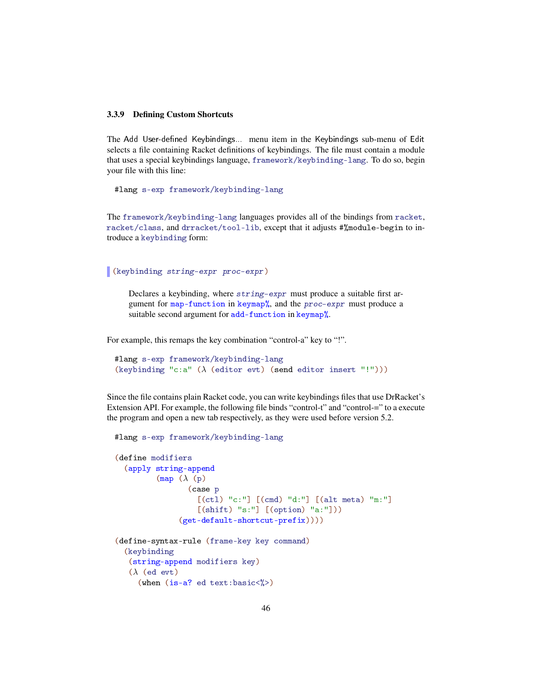#### <span id="page-45-0"></span>3.3.9 Defining Custom Shortcuts

The Add User-defined Keybindings... menu item in the Keybindings sub-menu of Edit selects a file containing Racket definitions of keybindings. The file must contain a module that uses a special keybindings language, framework/keybinding-lang. To do so, begin your file with this line:

#lang s-exp framework/keybinding-lang

The framework/keybinding-lang languages provides all of the bindings from racket, racket/class, and drracket/tool-lib, except that it adjusts #%module-begin to introduce a keybinding form:

(keybinding string-expr proc-expr)

Declares a keybinding, where string-expr must produce a suitable first argument for map-function in keymap%, and the proc-expr must produce a suitable second argument for add-function in keymap%.

For example, this remaps the key combination "control-a" key to "!".

```
#lang s-exp framework/keybinding-lang
(keybinding "c:a" (\lambda (editor evt) (send editor insert "!")))
```
Since the file contains plain Racket code, you can write keybindings files that use DrRacket's Extension API. For example, the following file binds "control-t" and "control-=" to a execute the program and open a new tab respectively, as they were used before version 5.2.

```
#lang s-exp framework/keybinding-lang
(define modifiers
  (apply string-append
          (map (\lambda (p))(case p
                     [(ct1) "c;"] [ (cmd) "d;"] [ (alt meta) "m;"][(\text{shift}) "s:"] [(\text{option}) "a:"])
                (get-default-shortcut-prefix))))
(define-syntax-rule (frame-key key command)
  (keybinding
   (string-append modifiers key)
   (\lambda (ed evt)
     (when (is-a? ed text:basic<\langle \rangle)
```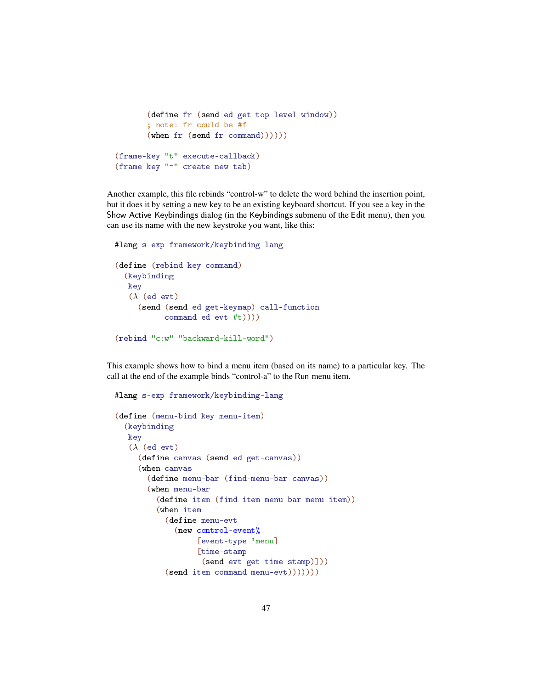```
(define fr (send ed get-top-level-window))
        ; note: fr could be #f
        (\text{when fr} (\text{send fr} (\text{command}))))))(frame-key "t" execute-callback)
(frame-key "=" create-new-tab)
```
Another example, this file rebinds "control-w" to delete the word behind the insertion point, but it does it by setting a new key to be an existing keyboard shortcut. If you see a key in the Show Active Keybindings dialog (in the Keybindings submenu of the Edit menu), then you can use its name with the new keystroke you want, like this:

```
#lang s-exp framework/keybinding-lang
(define (rebind key command)
  (keybinding
  key
   (\lambda (ed evt)
     (send (send ed get-keymap) call-function
           command ed evt #t))))
(rebind "c:w" "backward-kill-word")
```
This example shows how to bind a menu item (based on its name) to a particular key. The call at the end of the example binds "control-a" to the Run menu item.

```
#lang s-exp framework/keybinding-lang
(define (menu-bind key menu-item)
  (keybinding
  key
   (\lambda) (ed evt)
     (define canvas (send ed get-canvas))
     (when canvas
       (define menu-bar (find-menu-bar canvas))
       (when menu-bar
         (define item (find-item menu-bar menu-item))
         (when item
           (define menu-evt
             (new control-event%
                   [event-type 'menu]
                   [time-stamp
                   (send evt get-time-stamp)]))
           (send item command menu-evt)))))))
```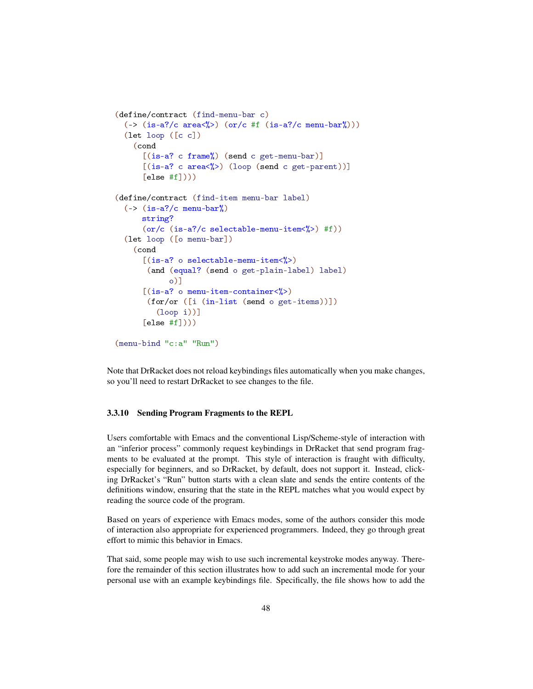```
(define/contract (find-menu-bar c)
  (\rightarrow (is-a?/c area<%>) (or/c #f (is-a?/c menu-bar%)))
  (let loop ([c c])
    (cond
      [(is-a? c frame)'_0) (send c get-menu-bar)]
      [(is-a? c area\%)(loop (send c get-part))]\lceilelse #f\rceil)))
(define/contract (find-item menu-bar label)
  (\rightarrow (is-a?/c menu-bar%)
      string?
      (or/c (is-a?/c selectable-menu-item<%>) #f))
  (let loop ([o menu-bar])
    (cond
      [(is-a? \circ selectable-menu-item<%)(and (equal? (send o get-plain-label) label)
             o)]
      [(is-a? \text{ o menu-item-container}\langle \text{'}\rangle)(for/or ([i (in-list (send o get-items))])
          (loop i))]
      [else #f])))
(menu-bind "c:a" "Run")
```
Note that DrRacket does not reload keybindings files automatically when you make changes, so you'll need to restart DrRacket to see changes to the file.

#### <span id="page-47-0"></span>3.3.10 Sending Program Fragments to the REPL

Users comfortable with Emacs and the conventional Lisp/Scheme-style of interaction with an "inferior process" commonly request keybindings in DrRacket that send program fragments to be evaluated at the prompt. This style of interaction is fraught with difficulty, especially for beginners, and so DrRacket, by default, does not support it. Instead, clicking DrRacket's "Run" button starts with a clean slate and sends the entire contents of the definitions window, ensuring that the state in the REPL matches what you would expect by reading the source code of the program.

Based on years of experience with Emacs modes, some of the authors consider this mode of interaction also appropriate for experienced programmers. Indeed, they go through great effort to mimic this behavior in Emacs.

That said, some people may wish to use such incremental keystroke modes anyway. Therefore the remainder of this section illustrates how to add such an incremental mode for your personal use with an example keybindings file. Specifically, the file shows how to add the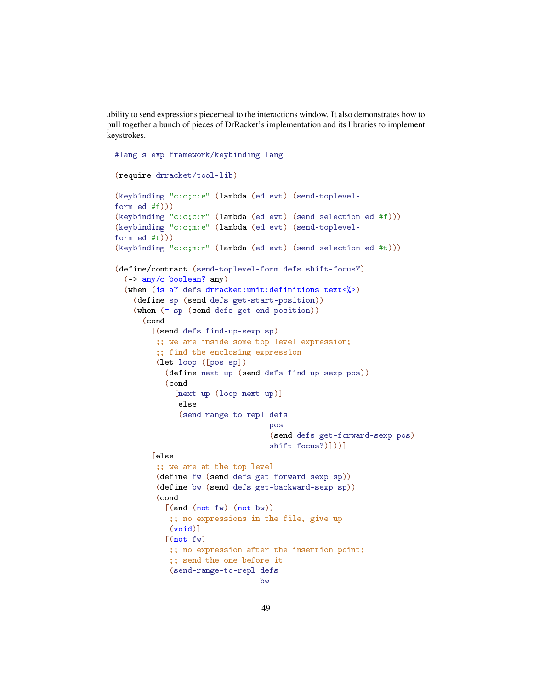ability to send expressions piecemeal to the interactions window. It also demonstrates how to pull together a bunch of pieces of DrRacket's implementation and its libraries to implement keystrokes.

```
#lang s-exp framework/keybinding-lang
(require drracket/tool-lib)
(keybinding "c:c;c:e" (lambda (ed evt) (send-toplevel-
form ed #f)))
(keybinding "c:c;c:r" (lambda (ed evt) (send-selection ed #f)))
(keybinding "c:c;m:e" (lambda (ed evt) (send-toplevel-
form ed #t)))
(keybinding "c:c;m:r" (lambda (ed evt) (send-selection ed #t)))
(define/contract (send-toplevel-form defs shift-focus?)
  (-> any/c boolean? any)
  (when (is-a? defs drracket:unit:definitions-text<\langle \rangle)
    (define sp (send defs get-start-position))
    (when (= sp (send defs get-end-position))
      (cond
        [(send defs find-up-sexp sp)
         ;; we are inside some top-level expression;
         ;; find the enclosing expression
         (let loop ([pos sp])
           (define next-up (send defs find-up-sexp pos))
           (cond
              [next-up (loop next-up)]
              [else
               (send-range-to-repl defs
                                   pos
                                    (send defs get-forward-sexp pos)
                                    shift-focus?)]))]
        [else
         ;; we are at the top-level
         (define fw (send defs get-forward-sexp sp))
         (define bw (send defs get-backward-sexp sp))
         (cond
           [(and (not <i>fw</i>) (not <i>bw</i>)));; no expressions in the file, give up
            (void)]
           [(not f w)];; no expression after the insertion point;
            ;; send the one before it
            (send-range-to-repl defs
                                 bw
```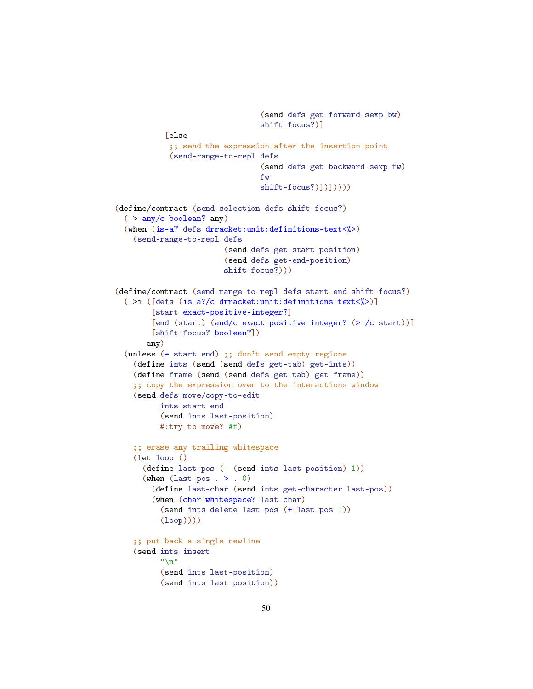```
(send defs get-forward-sexp bw)
                                shift-focus?)]
           [else
            ;; send the expression after the insertion point
            (send-range-to-repl defs
                                 (send defs get-backward-sexp fw)
                                fw
                                shift-focus?)])]))))
(define/contract (send-selection defs shift-focus?)
  (-> any/c boolean? any)
  (when (is-a? defs drracket:unit:definitions-text<%>)
    (send-range-to-repl defs
                        (send defs get-start-position)
                        (send defs get-end-position)
                        shift-focus?)))
(define/contract (send-range-to-repl defs start end shift-focus?)
  (->i ([defs (is-a?/c drracket:unit:definitions-text<%>)]
        [start exact-positive-integer?]
        [end (start) (and/c exact-positive-integer? (>=/c start))]
        [shift-focus? boolean?])
       any)
  (unless (= start end) ;; don't send empty regions
    (define ints (send (send defs get-tab) get-ints))
    (define frame (send (send defs get-tab) get-frame))
    ;; copy the expression over to the interactions window
    (send defs move/copy-to-edit
         ints start end
          (send ints last-position)
          #:try-to-move? #f)
    ;; erase any trailing whitespace
    (let loop ()
      (define last-pos (- (send ints last-position) 1))
      (when (last-pos . > . 0)
        (define last-char (send ints get-character last-pos))
        (when (char-whitespace? last-char)
          (send ints delete last-pos (+ last-pos 1))
          (loop))))
    ;; put back a single newline
    (send ints insert
          " \n\lambda n"(send ints last-position)
          (send ints last-position))
```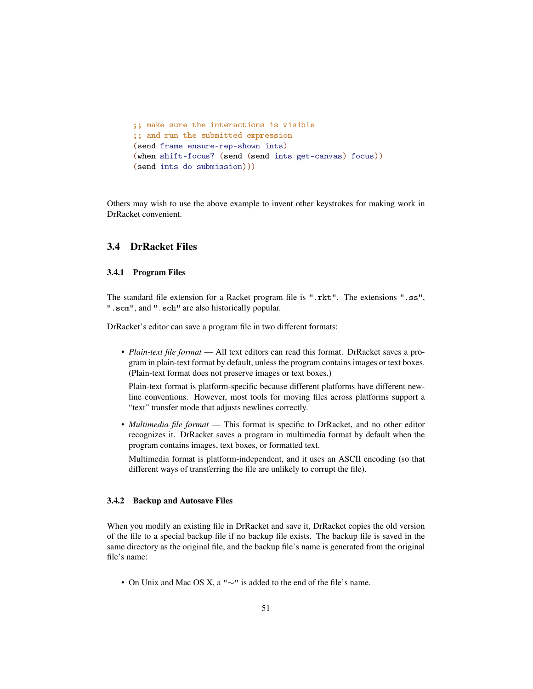```
;; make sure the interactions is visible
;; and run the submitted expression
(send frame ensure-rep-shown ints)
(when shift-focus? (send (send ints get-canvas) focus))
(send ints do-submission)))
```
Others may wish to use the above example to invent other keystrokes for making work in DrRacket convenient.

#### <span id="page-50-0"></span>3.4 DrRacket Files

#### <span id="page-50-1"></span>3.4.1 Program Files

The standard file extension for a Racket program file is ".rkt". The extensions ".ss", ".scm", and ".sch" are also historically popular.

DrRacket's editor can save a program file in two different formats:

• *Plain-text file format* — All text editors can read this format. DrRacket saves a program in plain-text format by default, unless the program contains images or text boxes. (Plain-text format does not preserve images or text boxes.)

Plain-text format is platform-specific because different platforms have different newline conventions. However, most tools for moving files across platforms support a "text" transfer mode that adjusts newlines correctly.

• *Multimedia file format* — This format is specific to DrRacket, and no other editor recognizes it. DrRacket saves a program in multimedia format by default when the program contains images, text boxes, or formatted text.

Multimedia format is platform-independent, and it uses an ASCII encoding (so that different ways of transferring the file are unlikely to corrupt the file).

#### <span id="page-50-2"></span>3.4.2 Backup and Autosave Files

When you modify an existing file in DrRacket and save it, DrRacket copies the old version of the file to a special backup file if no backup file exists. The backup file is saved in the same directory as the original file, and the backup file's name is generated from the original file's name:

• On Unix and Mac OS X, a " $\sim$ " is added to the end of the file's name.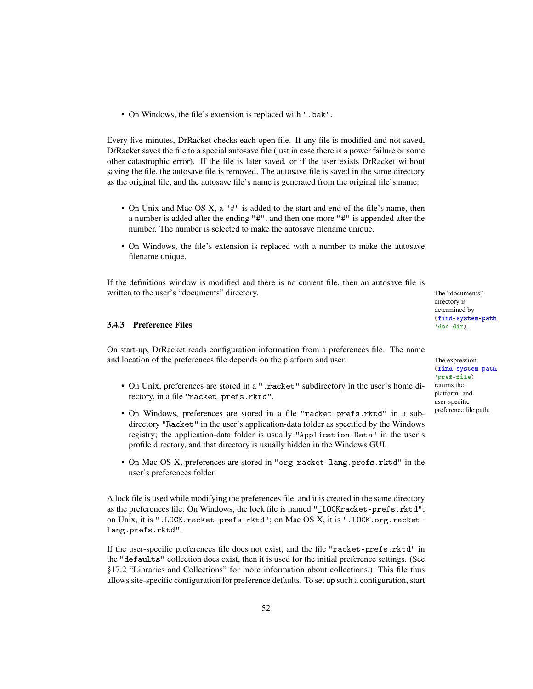• On Windows, the file's extension is replaced with ".bak".

Every five minutes, DrRacket checks each open file. If any file is modified and not saved, DrRacket saves the file to a special autosave file (just in case there is a power failure or some other catastrophic error). If the file is later saved, or if the user exists DrRacket without saving the file, the autosave file is removed. The autosave file is saved in the same directory as the original file, and the autosave file's name is generated from the original file's name:

- On Unix and Mac OS X, a "#" is added to the start and end of the file's name, then a number is added after the ending "#", and then one more "#" is appended after the number. The number is selected to make the autosave filename unique.
- On Windows, the file's extension is replaced with a number to make the autosave filename unique.

If the definitions window is modified and there is no current file, then an autosave file is written to the user's "documents" directory. The "documents" directory.

### <span id="page-51-0"></span>**3.4.3** Preference Files  $\frac{320}{d}$

On start-up, DrRacket reads configuration information from a preferences file. The name and location of the preferences file depends on the platform and user: The expression

- On Unix, preferences are stored in a ".racket" subdirectory in the user's home directory, in a file "racket-prefs.rktd".
- On Windows, preferences are stored in a file "racket-prefs.rktd" in a subdirectory "Racket" in the user's application-data folder as specified by the Windows registry; the application-data folder is usually "Application Data" in the user's profile directory, and that directory is usually hidden in the Windows GUI.
- On Mac OS X, preferences are stored in "org.racket-lang.prefs.rktd" in the user's preferences folder.

A lock file is used while modifying the preferences file, and it is created in the same directory as the preferences file. On Windows, the lock file is named "\_LOCKracket-prefs.rktd"; on Unix, it is ".LOCK.racket-prefs.rktd"; on Mac OS X, it is ".LOCK.org.racketlang.prefs.rktd".

If the user-specific preferences file does not exist, and the file "racket-prefs.rktd" in the "defaults" collection does exist, then it is used for the initial preference settings. (See §17.2 "Libraries and Collections" for more information about collections.) This file thus allows site-specific configuration for preference defaults. To set up such a configuration, start directory is determined by (find-system-path

(find-system-path 'pref-file) returns the platform- and user-specific preference file path.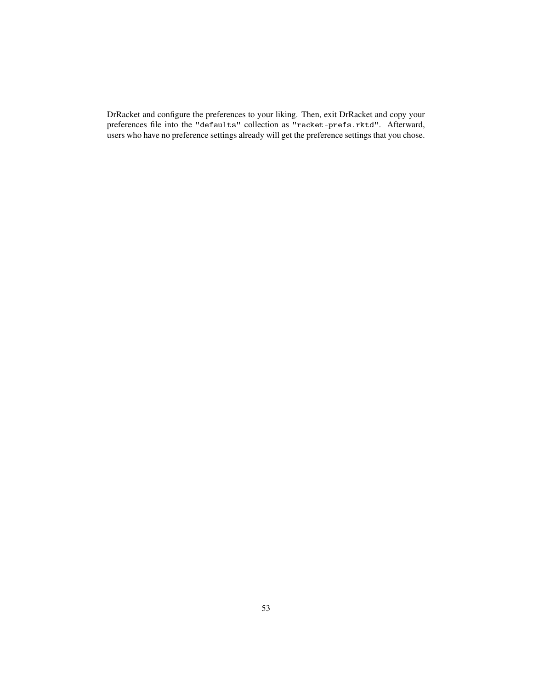DrRacket and configure the preferences to your liking. Then, exit DrRacket and copy your preferences file into the "defaults" collection as "racket-prefs.rktd". Afterward, users who have no preference settings already will get the preference settings that you chose.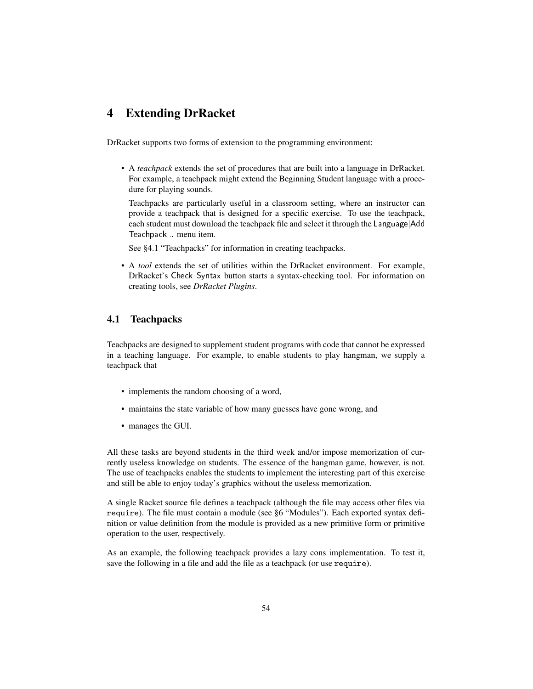## <span id="page-53-0"></span>4 Extending DrRacket

DrRacket supports two forms of extension to the programming environment:

• A *teachpack* extends the set of procedures that are built into a language in DrRacket. For example, a teachpack might extend the Beginning Student language with a procedure for playing sounds.

Teachpacks are particularly useful in a classroom setting, where an instructor can provide a teachpack that is designed for a specific exercise. To use the teachpack, each student must download the teachpack file and select it through the Language|Add Teachpack... menu item.

See §4.1 "Teachpacks" for information in creating teachpacks.

• A *tool* extends the set of utilities within the DrRacket environment. For example, DrRacket's Check Syntax button starts a syntax-checking tool. For information on creating tools, see *DrRacket Plugins*.

## <span id="page-53-1"></span>4.1 Teachpacks

Teachpacks are designed to supplement student programs with code that cannot be expressed in a teaching language. For example, to enable students to play hangman, we supply a teachpack that

- implements the random choosing of a word,
- maintains the state variable of how many guesses have gone wrong, and
- manages the GUI.

All these tasks are beyond students in the third week and/or impose memorization of currently useless knowledge on students. The essence of the hangman game, however, is not. The use of teachpacks enables the students to implement the interesting part of this exercise and still be able to enjoy today's graphics without the useless memorization.

A single Racket source file defines a teachpack (although the file may access other files via require). The file must contain a module (see §6 "Modules"). Each exported syntax definition or value definition from the module is provided as a new primitive form or primitive operation to the user, respectively.

As an example, the following teachpack provides a lazy cons implementation. To test it, save the following in a file and add the file as a teachpack (or use require).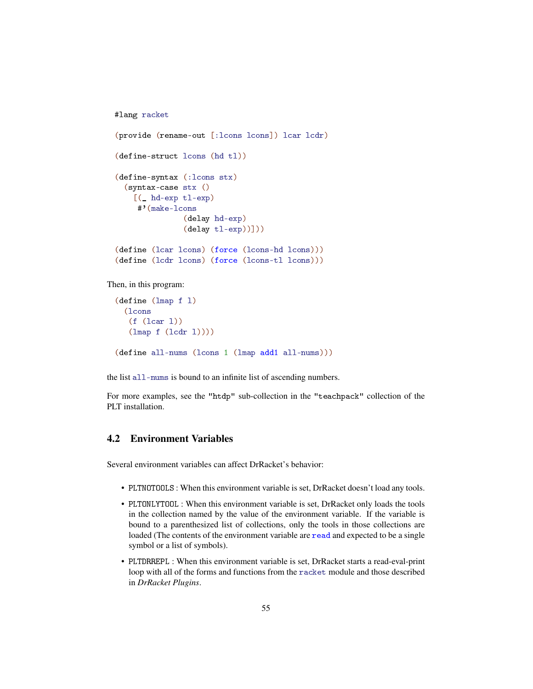```
#lang racket
(provide (rename-out [:lcons lcons]) lcar lcdr)
(define-struct lcons (hd tl))
(define-syntax (:lcons stx)
  (syntax-case stx ()
    [(_ hd-exp tl-exp)
     #'(make-lcons
               (delay hd-exp)
               (delay tl-exp))]))
(define (lcar lcons) (force (lcons-hd lcons)))
(define (lcdr lcons) (force (lcons-tl lcons)))
```
Then, in this program:

```
(define (lmap f l)
 (lcons
  (f (lcar l))
  (lmap f (lcdr l))))
(define all-nums (lcons 1 (lmap add1 all-nums)))
```
the list all-nums is bound to an infinite list of ascending numbers.

For more examples, see the "htdp" sub-collection in the "teachpack" collection of the PLT installation.

## <span id="page-54-0"></span>4.2 Environment Variables

Several environment variables can affect DrRacket's behavior:

- PLTNOTOOLS : When this environment variable is set, DrRacket doesn't load any tools.
- PLTONLYTOOL : When this environment variable is set, DrRacket only loads the tools in the collection named by the value of the environment variable. If the variable is bound to a parenthesized list of collections, only the tools in those collections are loaded (The contents of the environment variable are read and expected to be a single symbol or a list of symbols).
- PLTDRREPL : When this environment variable is set, DrRacket starts a read-eval-print loop with all of the forms and functions from the racket module and those described in *DrRacket Plugins*.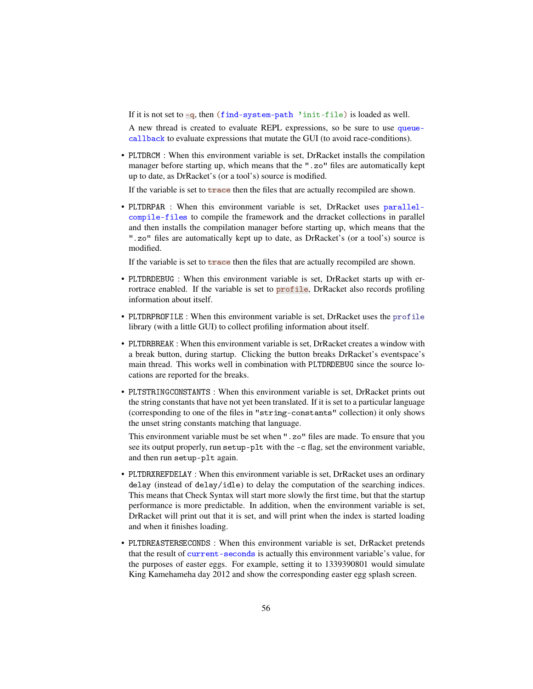If it is not set to -q, then (find-system-path 'init-file) is loaded as well.

A new thread is created to evaluate REPL expressions, so be sure to use queuecallback to evaluate expressions that mutate the GUI (to avoid race-conditions).

• PLTDRCM : When this environment variable is set, DrRacket installs the compilation manager before starting up, which means that the ".zo" files are automatically kept up to date, as DrRacket's (or a tool's) source is modified.

If the variable is set to trace then the files that are actually recompiled are shown.

• PLTDRPAR : When this environment variable is set, DrRacket uses parallelcompile-files to compile the framework and the drracket collections in parallel and then installs the compilation manager before starting up, which means that the ".zo" files are automatically kept up to date, as DrRacket's (or a tool's) source is modified.

If the variable is set to trace then the files that are actually recompiled are shown.

- PLTDRDEBUG : When this environment variable is set, DrRacket starts up with errortrace enabled. If the variable is set to **profile**, DrRacket also records profiling information about itself.
- PLTDRPROFILE : When this environment variable is set, DrRacket uses the profile library (with a little GUI) to collect profiling information about itself.
- PLTDRBREAK : When this environment variable is set, DrRacket creates a window with a break button, during startup. Clicking the button breaks DrRacket's eventspace's main thread. This works well in combination with PLTDRDEBUG since the source locations are reported for the breaks.
- PLTSTRINGCONSTANTS : When this environment variable is set, DrRacket prints out the string constants that have not yet been translated. If it is set to a particular language (corresponding to one of the files in "string-constants" collection) it only shows the unset string constants matching that language.

This environment variable must be set when ".zo" files are made. To ensure that you see its output properly, run setup-plt with the -c flag, set the environment variable, and then run setup-plt again.

- PLTDRXREFDELAY : When this environment variable is set, DrRacket uses an ordinary delay (instead of delay/idle) to delay the computation of the searching indices. This means that Check Syntax will start more slowly the first time, but that the startup performance is more predictable. In addition, when the environment variable is set, DrRacket will print out that it is set, and will print when the index is started loading and when it finishes loading.
- PLTDREASTERSECONDS : When this environment variable is set, DrRacket pretends that the result of current-seconds is actually this environment variable's value, for the purposes of easter eggs. For example, setting it to 1339390801 would simulate King Kamehameha day 2012 and show the corresponding easter egg splash screen.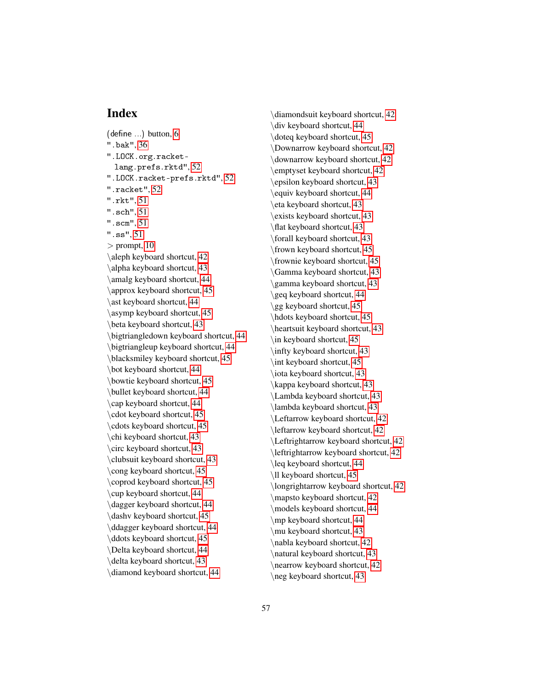## Index

<span id="page-56-0"></span> $(\text{define})$  button,  $6$ ".bak", [36](#page-35-0) ".LOCK.org.racketlang.prefs.rktd", [52](#page-51-0) ".LOCK.racket-prefs.rktd", [52](#page-51-0) ".racket", [52](#page-51-0) ".rkt", [51](#page-50-1) ".sch", [51](#page-50-1) ".scm", [51](#page-50-1) ".ss", [51](#page-50-1)  $>$  prompt, [10](#page-9-1) \aleph keyboard shortcut, [42](#page-41-1) \alpha keyboard shortcut, [43](#page-41-1) \amalg keyboard shortcut, [44](#page-41-1) \approx keyboard shortcut, [45](#page-41-1) \ast keyboard shortcut, [44](#page-41-1) \asymp keyboard shortcut, [45](#page-41-1) \beta keyboard shortcut, [43](#page-41-1) \bigtriangledown keyboard shortcut, [44](#page-41-1) \bigtriangleup keyboard shortcut, [44](#page-41-1) \blacksmiley keyboard shortcut, [45](#page-41-1) \bot keyboard shortcut, [44](#page-41-1) \bowtie keyboard shortcut, [45](#page-41-1) \bullet keyboard shortcut, [44](#page-41-1) \cap keyboard shortcut, [44](#page-41-1) \cdot keyboard shortcut, [45](#page-41-1) \cdots keyboard shortcut, [45](#page-41-1) \chi keyboard shortcut, [43](#page-41-1) \circ keyboard shortcut, [43](#page-41-1) \clubsuit keyboard shortcut, [43](#page-41-1) \cong keyboard shortcut, [45](#page-41-1) \coprod keyboard shortcut, [45](#page-41-1) \cup keyboard shortcut, [44](#page-41-1) \dagger keyboard shortcut, [44](#page-41-1) \dashv keyboard shortcut, [45](#page-41-1) \ddagger keyboard shortcut, [44](#page-41-1) \ddots keyboard shortcut, [45](#page-41-1) \Delta keyboard shortcut, [44](#page-41-1) \delta keyboard shortcut, [43](#page-41-1) \diamond keyboard shortcut, [44](#page-41-1)

\diamondsuit keyboard shortcut, [42](#page-41-1) \div keyboard shortcut, [44](#page-41-1) \doteq keyboard shortcut, [45](#page-41-1) \Downarrow keyboard shortcut, [42](#page-41-1) \downarrow keyboard shortcut, [42](#page-41-1) \emptyset keyboard shortcut, [42](#page-41-1) \epsilon keyboard shortcut, [43](#page-41-1) \equiv keyboard shortcut, [44](#page-41-1) \eta keyboard shortcut, [43](#page-41-1) \exists keyboard shortcut, [43](#page-41-1) \flat keyboard shortcut, [43](#page-41-1) \forall keyboard shortcut, [43](#page-41-1) \frown keyboard shortcut, [45](#page-41-1) \frownie keyboard shortcut, [45](#page-41-1) \Gamma keyboard shortcut, [43](#page-41-1) \gamma keyboard shortcut, [43](#page-41-1) \geq keyboard shortcut, [44](#page-41-1) \gg keyboard shortcut, [45](#page-41-1) \hdots keyboard shortcut, [45](#page-41-1) \heartsuit keyboard shortcut, [43](#page-41-1) \in keyboard shortcut, [45](#page-41-1) \infty keyboard shortcut, [43](#page-41-1) \int keyboard shortcut, [45](#page-41-1) \iota keyboard shortcut, [43](#page-41-1) \kappa keyboard shortcut, [43](#page-41-1) \Lambda keyboard shortcut, [43](#page-41-1) \lambda keyboard shortcut, [43](#page-41-1) \Leftarrow keyboard shortcut, [42](#page-41-1) \leftarrow keyboard shortcut, [42](#page-41-1) \Leftrightarrow keyboard shortcut, [42](#page-41-1) \leftrightarrow keyboard shortcut, [42](#page-41-1) \leq keyboard shortcut, [44](#page-41-1) \ll keyboard shortcut, [45](#page-41-1) \longrightarrow keyboard shortcut, [42](#page-41-1) \mapsto keyboard shortcut, [42](#page-41-1) \models keyboard shortcut, [44](#page-41-1) \mp keyboard shortcut, [44](#page-41-1) \mu keyboard shortcut, [43](#page-41-1) \nabla keyboard shortcut, [42](#page-41-1) \natural keyboard shortcut, [43](#page-41-1) \nearrow keyboard shortcut, [42](#page-41-1) \neg keyboard shortcut, [43](#page-41-1)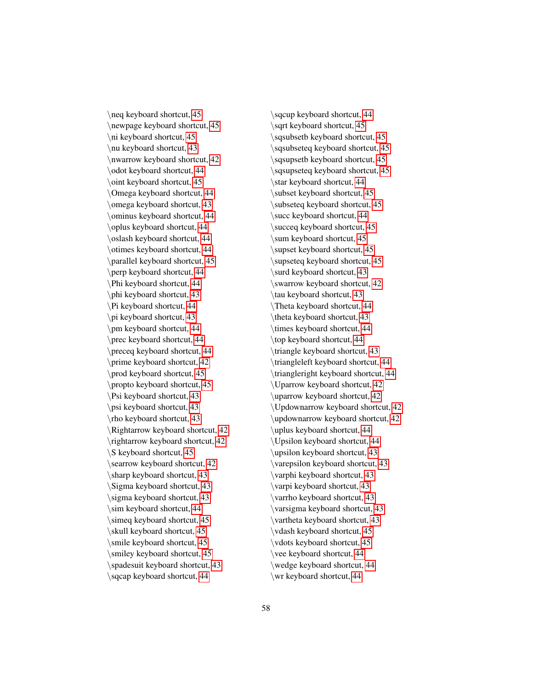\neq keyboard shortcut, [45](#page-41-1) \newpage keyboard shortcut, [45](#page-41-1) \ni keyboard shortcut, [45](#page-41-1) \nu keyboard shortcut, [43](#page-41-1) \nwarrow keyboard shortcut, [42](#page-41-1) \odot keyboard shortcut, [44](#page-41-1) \oint keyboard shortcut, [45](#page-41-1) \Omega keyboard shortcut, [44](#page-41-1) \omega keyboard shortcut, [43](#page-41-1) \ominus keyboard shortcut, [44](#page-41-1) \oplus keyboard shortcut, [44](#page-41-1) \oslash keyboard shortcut, [44](#page-41-1) \otimes keyboard shortcut, [44](#page-41-1) \parallel keyboard shortcut, [45](#page-41-1) \perp keyboard shortcut, [44](#page-41-1) \Phi keyboard shortcut, [44](#page-41-1) \phi keyboard shortcut, [43](#page-41-1) \Pi keyboard shortcut, [44](#page-41-1) \pi keyboard shortcut, [43](#page-41-1) \pm keyboard shortcut, [44](#page-41-1) \prec keyboard shortcut, [44](#page-41-1) \preceq keyboard shortcut, [44](#page-41-1) \prime keyboard shortcut, [42](#page-41-1) \prod keyboard shortcut, [45](#page-41-1) \propto keyboard shortcut, [45](#page-41-1) \Psi keyboard shortcut, [43](#page-41-1) \psi keyboard shortcut, [43](#page-41-1) \rho keyboard shortcut, [43](#page-41-1) \Rightarrow keyboard shortcut, [42](#page-41-1) \rightarrow keyboard shortcut, [42](#page-41-1) \S keyboard shortcut, [45](#page-41-1) \searrow keyboard shortcut, [42](#page-41-1) \sharp keyboard shortcut, [43](#page-41-1) \Sigma keyboard shortcut, [43](#page-41-1) \sigma keyboard shortcut, [43](#page-41-1) \sim keyboard shortcut, [44](#page-41-1) \simeq keyboard shortcut, [45](#page-41-1) \skull keyboard shortcut, [45](#page-41-1) \smile keyboard shortcut, [45](#page-41-1) \smiley keyboard shortcut, [45](#page-41-1) \spadesuit keyboard shortcut, [43](#page-41-1) \sqcap keyboard shortcut, [44](#page-41-1)

\sqcup keyboard shortcut, [44](#page-41-1) \sqrt keyboard shortcut, [45](#page-41-1) \sqsubsetb keyboard shortcut, [45](#page-41-1) \sqsubseteq keyboard shortcut, [45](#page-41-1) \sqsupsetb keyboard shortcut, [45](#page-41-1) \sqsupseteq keyboard shortcut, [45](#page-41-1) \star keyboard shortcut, [44](#page-41-1) \subset keyboard shortcut, [45](#page-41-1) \subseteq keyboard shortcut, [45](#page-41-1) \succ keyboard shortcut, [44](#page-41-1) \succeq keyboard shortcut, [45](#page-41-1) \sum keyboard shortcut, [45](#page-41-1) \supset keyboard shortcut, [45](#page-41-1) \supseteq keyboard shortcut, [45](#page-41-1) \surd keyboard shortcut, [43](#page-41-1) \swarrow keyboard shortcut, [42](#page-41-1) \tau keyboard shortcut, [43](#page-41-1) \Theta keyboard shortcut, [44](#page-41-1) \theta keyboard shortcut, [43](#page-41-1) \times keyboard shortcut, [44](#page-41-1) \top keyboard shortcut, [44](#page-41-1) \triangle keyboard shortcut, [43](#page-41-1) \triangleleft keyboard shortcut, [44](#page-41-1) \triangleright keyboard shortcut, [44](#page-41-1) \Uparrow keyboard shortcut, [42](#page-41-1) \uparrow keyboard shortcut, [42](#page-41-1) \Updownarrow keyboard shortcut, [42](#page-41-1) \updownarrow keyboard shortcut, [42](#page-41-1) \uplus keyboard shortcut, [44](#page-41-1) \Upsilon keyboard shortcut, [44](#page-41-1) \upsilon keyboard shortcut, [43](#page-41-1) \varepsilon keyboard shortcut, [43](#page-41-1) \varphi keyboard shortcut, [43](#page-41-1) \varpi keyboard shortcut, [43](#page-41-1) \varrho keyboard shortcut, [43](#page-41-1) \varsigma keyboard shortcut, [43](#page-41-1) \vartheta keyboard shortcut, [43](#page-41-1) \vdash keyboard shortcut, [45](#page-41-1) \vdots keyboard shortcut, [45](#page-41-1) \vee keyboard shortcut, [44](#page-41-1) \wedge keyboard shortcut, [44](#page-41-1) \wr keyboard shortcut, [44](#page-41-1)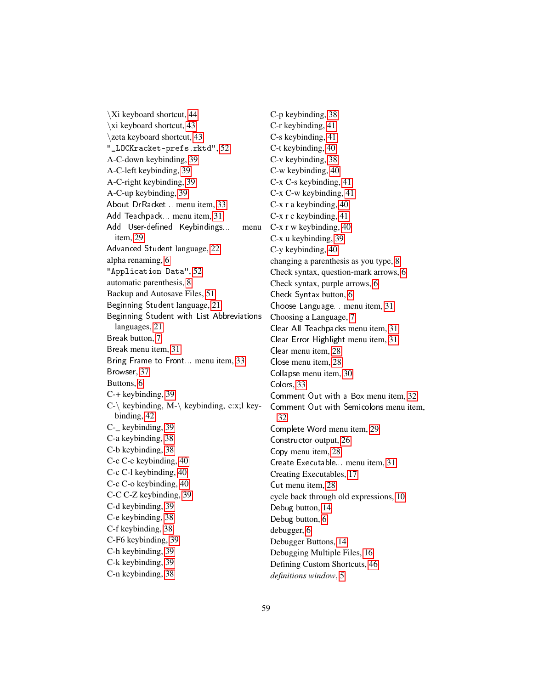\xi keyboard shortcut, [43](#page-41-1) \zeta keyboard shortcut, [43](#page-41-1) "\_LOCKracket-prefs.rktd", [52](#page-51-0) A-C-down keybinding, [39](#page-37-0) A-C-left keybinding, [39](#page-37-0) A-C-right keybinding, [39](#page-37-0) A-C-up keybinding, [39](#page-37-0) About DrRacket... menu item, [33](#page-32-1) Add Teachpack... menu item, [31](#page-30-0) Add User-defined Keybindings... item, [29](#page-27-0) Advanced Student language, [22](#page-20-1) alpha renaming, [6](#page-5-0) "Application Data", [52](#page-51-0) automatic parenthesis, [8](#page-7-0) Backup and Autosave Files, [51](#page-50-2) Beginning Student language, [21](#page-20-1) Beginning Student with List Abbreviations languages, [21](#page-20-1) Break button, [7](#page-5-0) Break menu item, [31](#page-30-1) Bring Frame to Front... menu item, [33](#page-32-0) Browser, [37](#page-36-1) Buttons, [6](#page-5-0) C-+ keybinding, [39](#page-38-0) C- $\backslash$  keybinding, M- $\backslash$  keybinding, c:x;l keybinding, [42](#page-41-1) C-\_ keybinding, [39](#page-38-0) C-a keybinding, [38](#page-37-0) C-b keybinding, [38](#page-37-0) C-c C-e keybinding, [40](#page-38-0) C-c C-l keybinding, [40](#page-38-0) C-c C-o keybinding, [40](#page-38-0) C-C C-Z keybinding, [39](#page-37-0) C-d keybinding, [39](#page-38-0) C-e keybinding, [38](#page-37-0) C-f keybinding, [38](#page-37-0) C-F6 keybinding, [39](#page-37-0) C-h keybinding, [39](#page-38-0) C-k keybinding, [39](#page-38-0) C-n keybinding, [38](#page-37-0)

\Xi keyboard shortcut, [44](#page-41-1)

C-p keybinding, [38](#page-37-0) C-r keybinding, [41](#page-40-1) C-s keybinding, [41](#page-40-1) C-t keybinding, [40](#page-38-0) C-v keybinding, [38](#page-37-0) C-w keybinding, [40](#page-38-0) C-x C-s keybinding, [41](#page-40-0) C-x C-w keybinding, [41](#page-40-0) C-x r a keybinding, [40](#page-38-0) C-x r c keybinding, [41](#page-38-0) menu C-x r w keybinding, [40](#page-38-0) C-x u keybinding, [39](#page-38-0) C-y keybinding, [40](#page-38-0) changing a parenthesis as you type, [8](#page-7-0) Check syntax, question-mark arrows, [6](#page-5-0) Check syntax, purple arrows, [6](#page-5-0) Check Syntax button, [6](#page-5-0) Choose Language... menu item, [31](#page-30-0) Choosing a Language, [7](#page-6-0) Clear All Teachpacks menu item, [31](#page-30-0) Clear Error Highlight menu item, [31](#page-30-1) Clear menu item, [28](#page-27-0) Close menu item, [28](#page-26-2) Collapse menu item, [30](#page-28-0) Colors, [33](#page-32-4) Comment Out with a Box menu item, [32](#page-30-1) Comment Out with Semicolons menu item, [32](#page-30-1) Complete Word menu item, [29](#page-27-0) Constructor output, [26](#page-24-1) Copy menu item, [28](#page-27-0) Create Executable... menu item, [31](#page-30-1) Creating Executables, [17](#page-16-1) Cut menu item, [28](#page-27-0) cycle back through old expressions, [10](#page-9-1) Debug button, [14](#page-13-1) Debug button, [6](#page-5-0) debugger, [6](#page-5-0) Debugger Buttons, [14](#page-13-2) Debugging Multiple Files, [16](#page-15-1) Defining Custom Shortcuts, [46](#page-45-0) *definitions window*, [5](#page-4-0)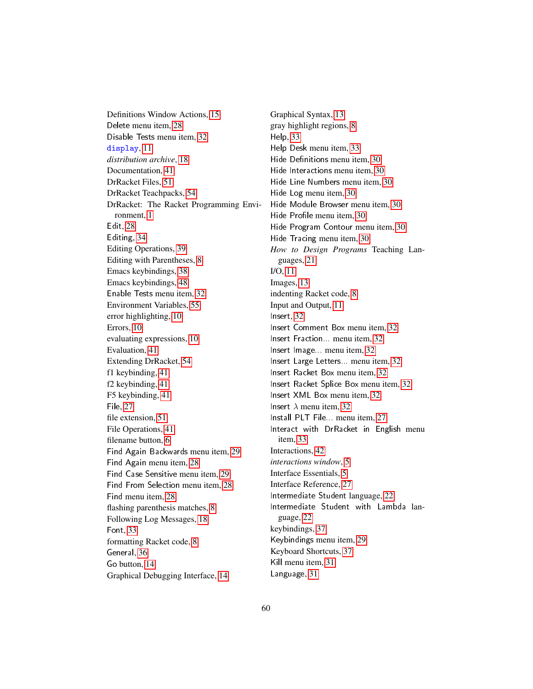Definitions Window Actions, [15](#page-14-0) Delete menu item, [28](#page-27-0) Disable Tests menu item, [32](#page-30-1) display, [11](#page-10-0) *distribution archive*, [18](#page-16-1) Documentation, [41](#page-40-3) DrRacket Files, [51](#page-50-0) DrRacket Teachpacks, [54](#page-53-0) DrRacket: The Racket Programming Environment, [1](#page-0-0) Edit, [28](#page-27-0) Editing, [34](#page-33-0) Editing Operations, [39](#page-38-0) Editing with Parentheses, [8](#page-7-0) Emacs keybindings, [38](#page-36-3) Emacs keybindings, [48](#page-47-0) Enable Tests menu item, [32](#page-30-1) Environment Variables, [55](#page-54-0) error highlighting, [10](#page-9-2) Errors, [10](#page-9-2) evaluating expressions, [10](#page-9-1) Evaluation, [41](#page-40-2) Extending DrRacket, [54](#page-53-0) f1 keybinding, [41](#page-40-3) f2 keybinding, [41](#page-40-3) F5 keybinding, [41](#page-40-2) File, [27](#page-26-2) file extension, [51](#page-50-1) File Operations, [41](#page-40-0) filename button, [6](#page-5-0) Find Again Backwards menu item, [29](#page-27-0) Find Again menu item, [28](#page-27-0) Find Case Sensitive menu item, [29](#page-27-0) Find From Selection menu item, [28](#page-27-0) Find menu item, [28](#page-27-0) flashing parenthesis matches, [8](#page-7-0) Following Log Messages, [18](#page-17-0) Font, [33](#page-32-3) formatting Racket code, [8](#page-7-0) General, [36](#page-35-0) Go button, [14](#page-13-2) Graphical Debugging Interface, [14](#page-13-1)

Graphical Syntax, [13](#page-12-0) gray highlight regions, [8](#page-7-0) Help, [33](#page-32-1) Help Desk menu item, [33](#page-32-1) Hide Definitions menu item, [30](#page-28-0) Hide Interactions menu item, [30](#page-28-0) Hide Line Numbers menu item, [30](#page-28-0) Hide Log menu item, [30](#page-28-0) Hide Module Browser menu item, [30](#page-28-0) Hide Profile menu item, [30](#page-28-0) Hide Program Contour menu item, [30](#page-28-0) Hide Tracing menu item, [30](#page-28-0) *How to Design Programs* Teaching Languages, [21](#page-20-1) I/O, [11](#page-10-0) Images, [13](#page-12-1) indenting Racket code, [8](#page-7-0) Input and Output, [11](#page-10-0) Insert, [32](#page-31-0) Insert Comment Box menu item, [32](#page-31-0) Insert Fraction... menu item, [32](#page-31-0) Insert Image... menu item, [32](#page-31-0) Insert Large Letters... menu item, [32](#page-31-0) Insert Racket Box menu item, [32](#page-31-0) Insert Racket Splice Box menu item, [32](#page-31-0) Insert XML Box menu item, [32](#page-31-0) Insert  $\lambda$  menu item, [32](#page-31-0) Install PLT File... menu item, [27](#page-26-2) Interact with DrRacket in English menu item, [33](#page-32-1) Interactions, [42](#page-41-0) *interactions window*, [5](#page-4-0) Interface Essentials, [5](#page-4-0) Interface Reference, [27](#page-26-0) Intermediate Student language, [22](#page-20-1) Intermediate Student with Lambda language, [22](#page-20-1) keybindings, [37](#page-36-3) Keybindings menu item, [29](#page-27-0) Keyboard Shortcuts, [37](#page-36-3) Kill menu item, [31](#page-30-1) Language, [31](#page-30-0)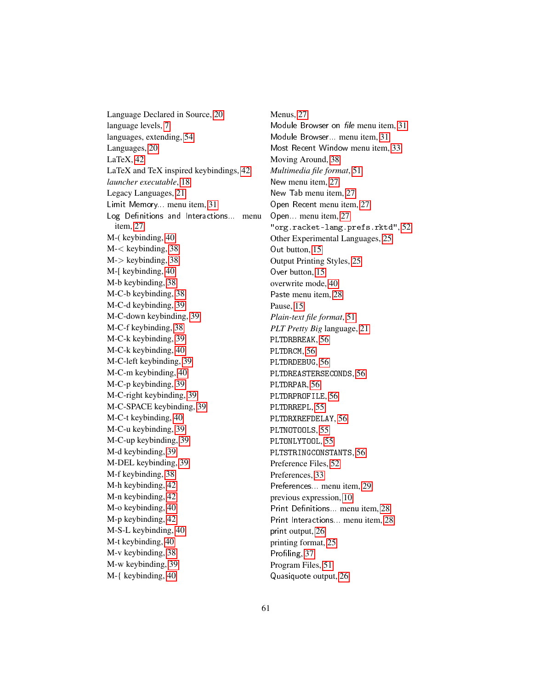Language Declared in Source, [20](#page-19-1) language levels, [7](#page-6-0) languages, extending, [54](#page-53-0) Languages, [20](#page-19-0) LaTeX, [42](#page-41-1) LaTeX and TeX inspired keybindings, [42](#page-41-1) *launcher executable*, [18](#page-16-1) Legacy Languages, [21](#page-20-0) Limit Memory... menu item, [31](#page-30-1) Log Definitions and Interactions... menu item, [27](#page-26-2) M-( keybinding, [40](#page-38-0) M-< keybinding, [38](#page-37-0) M-> keybinding, [38](#page-37-0) M-[ keybinding, [40](#page-38-0) M-b keybinding, [38](#page-37-0) M-C-b keybinding, [38](#page-37-0) M-C-d keybinding, [39](#page-37-0) M-C-down keybinding, [39](#page-37-0) M-C-f keybinding, [38](#page-37-0) M-C-k keybinding, [39](#page-38-0) M-C-k keybinding, [40](#page-38-0) M-C-left keybinding, [39](#page-37-0) M-C-m keybinding, [40](#page-38-0) M-C-p keybinding, [39](#page-37-0) M-C-right keybinding, [39](#page-37-0) M-C-SPACE keybinding, [39](#page-37-0) M-C-t keybinding, [40](#page-38-0) M-C-u keybinding, [39](#page-37-0) M-C-up keybinding, [39](#page-37-0) M-d keybinding, [39](#page-38-0) M-DEL keybinding, [39](#page-38-0) M-f keybinding, [38](#page-37-0) M-h keybinding, [42](#page-41-0) M-n keybinding, [42](#page-41-0) M-o keybinding, [40](#page-38-0) M-p keybinding, [42](#page-41-0) M-S-L keybinding, [40](#page-38-0) M-t keybinding, [40](#page-38-0) M-v keybinding, [38](#page-37-0) M-w keybinding, [39](#page-38-0) M-{ keybinding, [40](#page-38-0)

Menus, [27](#page-26-1) Module Browser on file menu item, [31](#page-30-1) Module Browser... menu item, [31](#page-30-1) Most Recent Window menu item, [33](#page-32-0) Moving Around, [38](#page-37-0) *Multimedia file format*, [51](#page-50-1) New menu item, [27](#page-26-2) New Tab menu item, [27](#page-26-2) Open Recent menu item, [27](#page-26-2) Open... menu item, [27](#page-26-2) "org.racket-lang.prefs.rktd", [52](#page-51-0) Other Experimental Languages, [25](#page-24-0) Out button, [15](#page-13-2) Output Printing Styles, [25](#page-24-1) Over button, [15](#page-13-2) overwrite mode, [40](#page-38-0) Paste menu item, [28](#page-27-0) Pause, [15](#page-13-2) *Plain-text file format*, [51](#page-50-1) *PLT Pretty Big* language, [21](#page-20-0) PLTDRBREAK, [56](#page-54-0) PLTDRCM, [56](#page-54-0) PLTDRDEBUG, [56](#page-54-0) PLTDREASTERSECONDS, [56](#page-54-0) PLTDRPAR, [56](#page-54-0) PLTDRPROFILE, [56](#page-54-0) PLTDRREPL, [55](#page-54-0) PLTDRXREFDELAY, [56](#page-54-0) PLTNOTOOLS, [55](#page-54-0) PLTONLYTOOL, [55](#page-54-0) PLTSTRINGCONSTANTS, [56](#page-54-0) Preference Files, [52](#page-51-0) Preferences, [33](#page-32-2) Preferences... menu item, [29](#page-27-0) previous expression, [10](#page-9-1) Print Definitions... menu item, [28](#page-26-2) Print Interactions. menu item, [28](#page-26-2) print output, [26](#page-24-1) printing format, [25](#page-24-1) Profiling, [37](#page-36-0) Program Files, [51](#page-50-1) Quasiquote output, [26](#page-24-1)